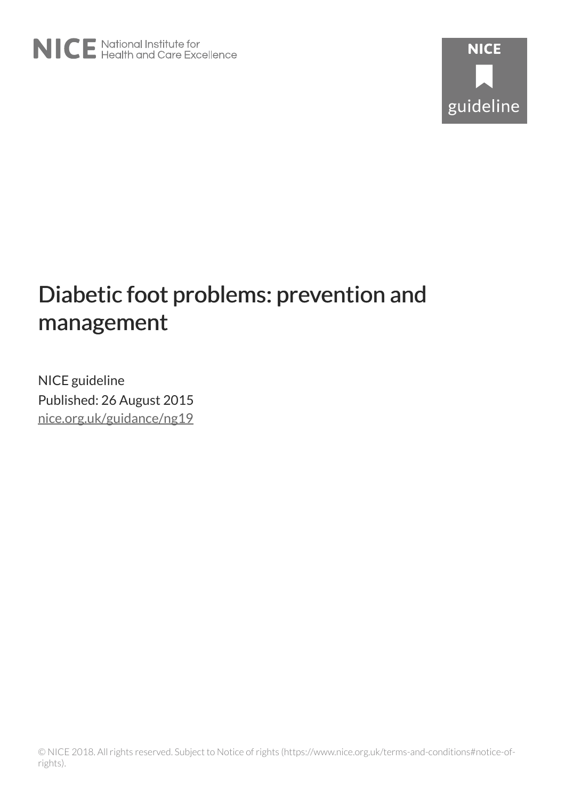# Diabetic foot problems: prevention and management

NICE guideline Published: 26 August 2015 [nice.org.uk/guidance/ng19](http://nice.org.uk/guidance/ng19)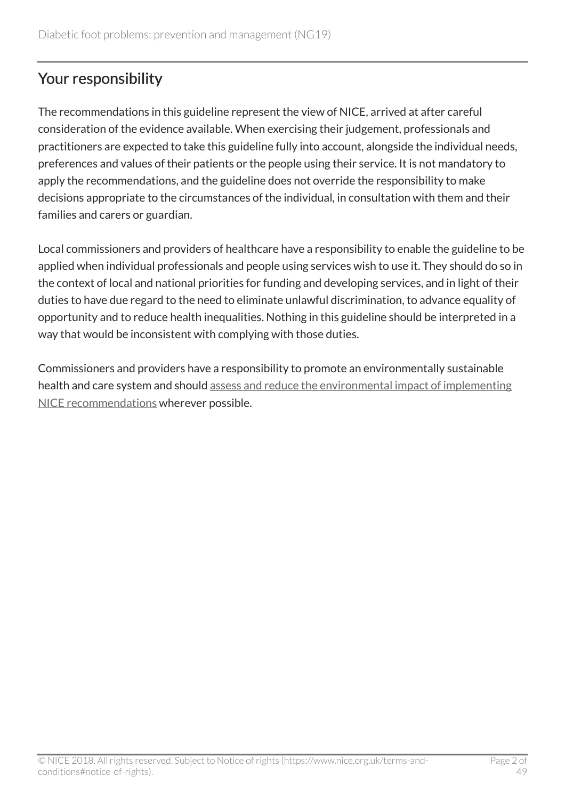# Your responsibility

The recommendations in this guideline represent the view of NICE, arrived at after careful consideration of the evidence available. When exercising their judgement, professionals and practitioners are expected to take this guideline fully into account, alongside the individual needs, preferences and values of their patients or the people using their service. It is not mandatory to apply the recommendations, and the guideline does not override the responsibility to make decisions appropriate to the circumstances of the individual, in consultation with them and their families and carers or guardian.

Local commissioners and providers of healthcare have a responsibility to enable the guideline to be applied when individual professionals and people using services wish to use it. They should do so in the context of local and national priorities for funding and developing services, and in light of their duties to have due regard to the need to eliminate unlawful discrimination, to advance equality of opportunity and to reduce health inequalities. Nothing in this guideline should be interpreted in a way that would be inconsistent with complying with those duties.

Commissioners and providers have a responsibility to promote an environmentally sustainable health and care system and should [assess and reduce the environmental impact of implementing](https://www.nice.org.uk/about/who-we-are/sustainability) [NICE recommendations](https://www.nice.org.uk/about/who-we-are/sustainability) wherever possible.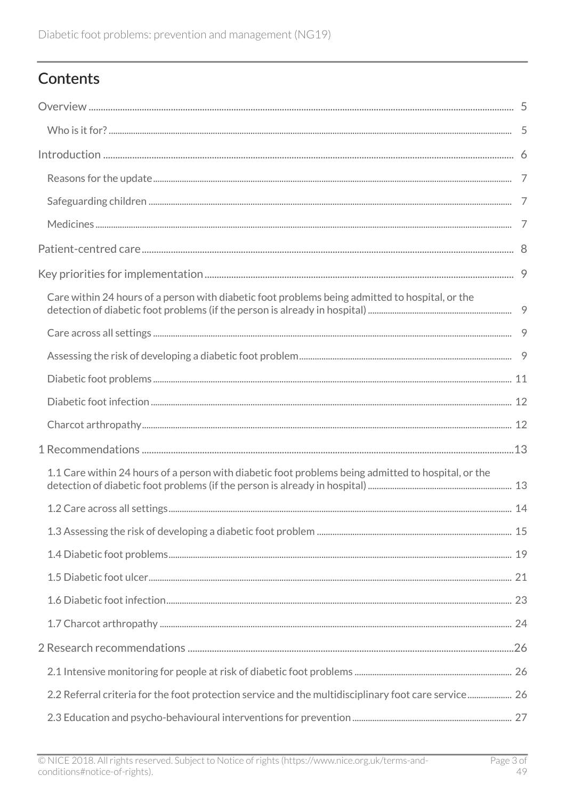# Contents

| Care within 24 hours of a person with diabetic foot problems being admitted to hospital, or the      |  |
|------------------------------------------------------------------------------------------------------|--|
|                                                                                                      |  |
|                                                                                                      |  |
|                                                                                                      |  |
|                                                                                                      |  |
|                                                                                                      |  |
|                                                                                                      |  |
| 1.1 Care within 24 hours of a person with diabetic foot problems being admitted to hospital, or the  |  |
|                                                                                                      |  |
|                                                                                                      |  |
|                                                                                                      |  |
|                                                                                                      |  |
|                                                                                                      |  |
|                                                                                                      |  |
|                                                                                                      |  |
|                                                                                                      |  |
| 2.2 Referral criteria for the foot protection service and the multidisciplinary foot care service 26 |  |
|                                                                                                      |  |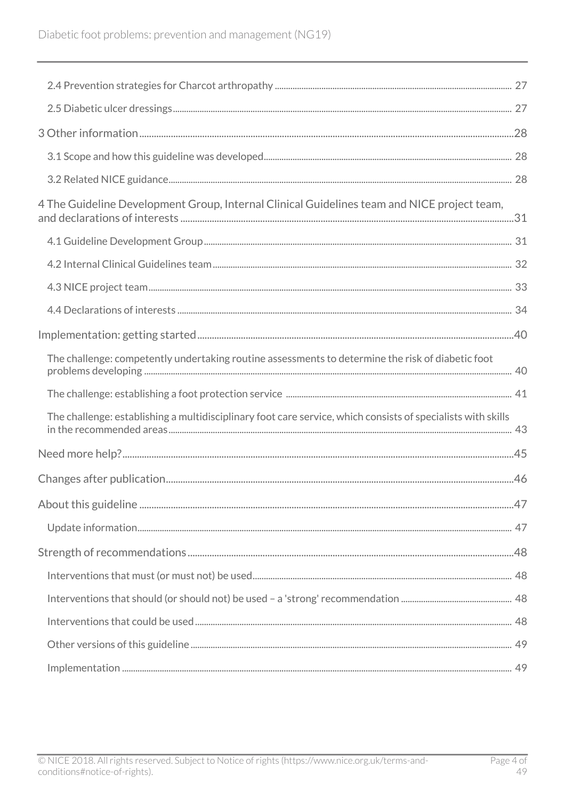| 4 The Guideline Development Group, Internal Clinical Guidelines team and NICE project team,                  |  |
|--------------------------------------------------------------------------------------------------------------|--|
|                                                                                                              |  |
|                                                                                                              |  |
|                                                                                                              |  |
|                                                                                                              |  |
|                                                                                                              |  |
| The challenge: competently undertaking routine assessments to determine the risk of diabetic foot            |  |
|                                                                                                              |  |
| The challenge: establishing a multidisciplinary foot care service, which consists of specialists with skills |  |
|                                                                                                              |  |
|                                                                                                              |  |
|                                                                                                              |  |
|                                                                                                              |  |
|                                                                                                              |  |
|                                                                                                              |  |
|                                                                                                              |  |
|                                                                                                              |  |
|                                                                                                              |  |
|                                                                                                              |  |
|                                                                                                              |  |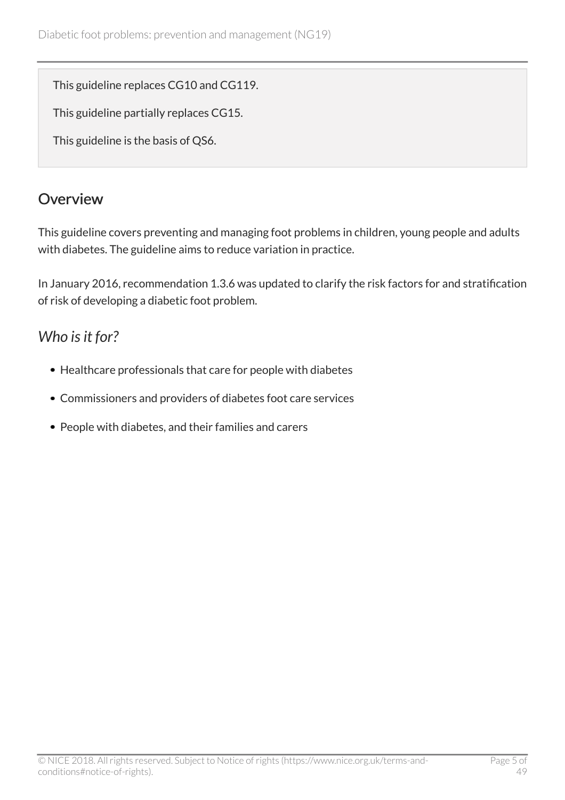This guideline replaces CG10 and CG119.

This guideline partially replaces CG15.

This guideline is the basis of QS6.

# <span id="page-4-0"></span>**Overview**

This guideline covers preventing and managing foot problems in children, young people and adults with diabetes. The guideline aims to reduce variation in practice.

In January 2016, recommendation 1.3.6 was updated to clarify the risk factors for and stratification of risk of developing a diabetic foot problem.

# <span id="page-4-1"></span>*Who is it for?*

- Healthcare professionals that care for people with diabetes
- Commissioners and providers of diabetes foot care services
- People with diabetes, and their families and carers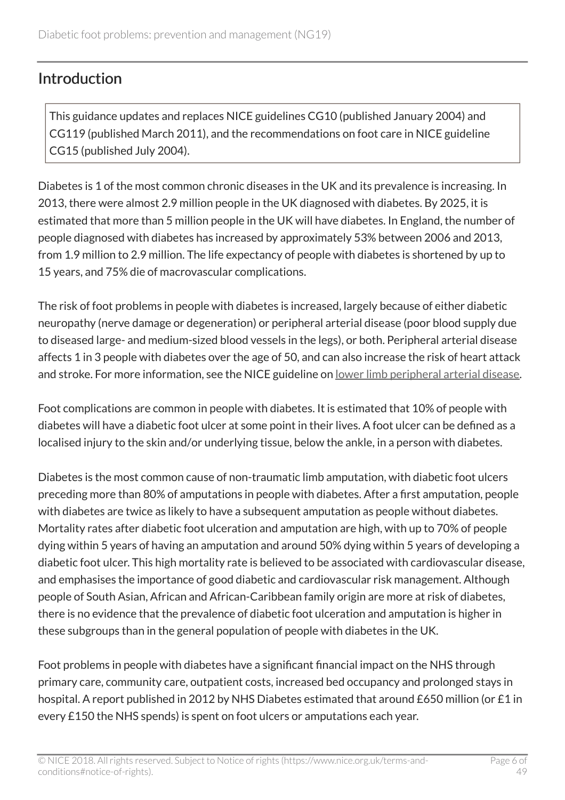### <span id="page-5-0"></span>**Introduction**

This guidance updates and replaces NICE guidelines CG10 (published January 2004) and CG119 (published March 2011), and the recommendations on foot care in NICE guideline CG15 (published July 2004).

Diabetes is 1 of the most common chronic diseases in the UK and its prevalence is increasing. In 2013, there were almost 2.9 million people in the UK diagnosed with diabetes. By 2025, it is estimated that more than 5 million people in the UK will have diabetes. In England, the number of people diagnosed with diabetes has increased by approximately 53% between 2006 and 2013, from 1.9 million to 2.9 million. The life expectancy of people with diabetes is shortened by up to 15 years, and 75% die of macrovascular complications.

The risk of foot problems in people with diabetes is increased, largely because of either diabetic neuropathy (nerve damage or degeneration) or peripheral arterial disease (poor blood supply due to diseased large- and medium-sized blood vessels in the legs), or both. Peripheral arterial disease affects 1 in 3 people with diabetes over the age of 50, and can also increase the risk of heart attack and stroke. For more information, see the NICE guideline on [lower limb peripheral arterial disease](http://www.nice.org.uk/guidance/cg147).

Foot complications are common in people with diabetes. It is estimated that 10% of people with diabetes will have a diabetic foot ulcer at some point in their lives. A foot ulcer can be defined as a localised injury to the skin and/or underlying tissue, below the ankle, in a person with diabetes.

Diabetes is the most common cause of non-traumatic limb amputation, with diabetic foot ulcers preceding more than 80% of amputations in people with diabetes. After a first amputation, people with diabetes are twice as likely to have a subsequent amputation as people without diabetes. Mortality rates after diabetic foot ulceration and amputation are high, with up to 70% of people dying within 5 years of having an amputation and around 50% dying within 5 years of developing a diabetic foot ulcer. This high mortality rate is believed to be associated with cardiovascular disease, and emphasises the importance of good diabetic and cardiovascular risk management. Although people of South Asian, African and African-Caribbean family origin are more at risk of diabetes, there is no evidence that the prevalence of diabetic foot ulceration and amputation is higher in these subgroups than in the general population of people with diabetes in the UK.

Foot problems in people with diabetes have a significant financial impact on the NHS through primary care, community care, outpatient costs, increased bed occupancy and prolonged stays in hospital. A report published in 2012 by NHS Diabetes estimated that around £650 million (or £1 in every £150 the NHS spends) is spent on foot ulcers or amputations each year.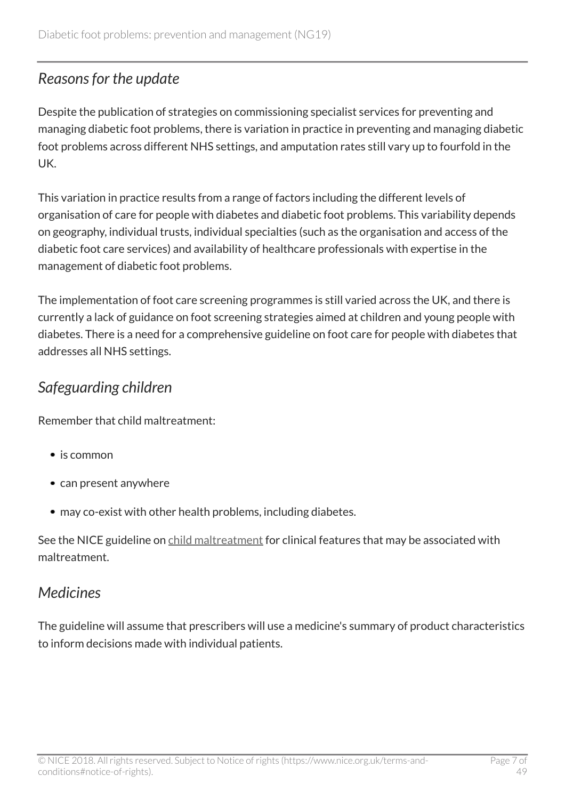### <span id="page-6-0"></span>*Reasons for the update*

Despite the publication of strategies on commissioning specialist services for preventing and managing diabetic foot problems, there is variation in practice in preventing and managing diabetic foot problems across different NHS settings, and amputation rates still vary up to fourfold in the UK.

This variation in practice results from a range of factors including the different levels of organisation of care for people with diabetes and diabetic foot problems. This variability depends on geography, individual trusts, individual specialties (such as the organisation and access of the diabetic foot care services) and availability of healthcare professionals with expertise in the management of diabetic foot problems.

The implementation of foot care screening programmes is still varied across the UK, and there is currently a lack of guidance on foot screening strategies aimed at children and young people with diabetes. There is a need for a comprehensive guideline on foot care for people with diabetes that addresses all NHS settings.

# <span id="page-6-1"></span>*Safeguarding children*

Remember that child maltreatment:

- is common
- can present anywhere
- may co-exist with other health problems, including diabetes.

See the NICE guideline on [child maltreatment](http://www.nice.org.uk/guidance/cg89) for clinical features that may be associated with maltreatment.

# <span id="page-6-2"></span>*Medicines*

The guideline will assume that prescribers will use a medicine's summary of product characteristics to inform decisions made with individual patients.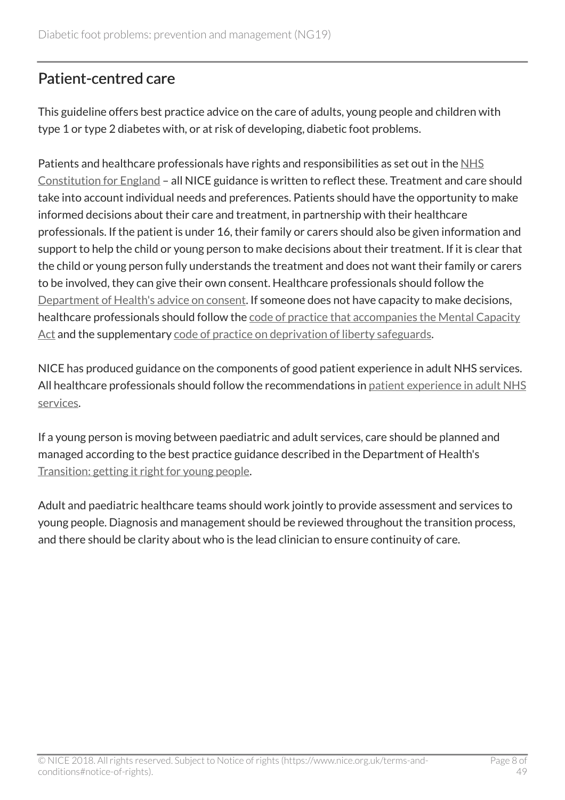# <span id="page-7-0"></span>Patient-centred care

This guideline offers best practice advice on the care of adults, young people and children with type 1 or type 2 diabetes with, or at risk of developing, diabetic foot problems.

Patients and healthcare professionals have rights and responsibilities as set out in the [NHS](https://www.gov.uk/government/publications/the-nhs-constitution-for-england) [Constitution for England](https://www.gov.uk/government/publications/the-nhs-constitution-for-england) – all NICE guidance is written to reflect these. Treatment and care should take into account individual needs and preferences. Patients should have the opportunity to make informed decisions about their care and treatment, in partnership with their healthcare professionals. If the patient is under 16, their family or carers should also be given information and support to help the child or young person to make decisions about their treatment. If it is clear that the child or young person fully understands the treatment and does not want their family or carers to be involved, they can give their own consent. Healthcare professionals should follow the [Department of Health's advice on consent.](https://www.gov.uk/government/publications/reference-guide-to-consent-for-examination-or-treatment-second-edition) If someone does not have capacity to make decisions, healthcare professionals should follow the [code of practice that accompanies the Mental Capacity](http://www.justice.gov.uk/protecting-the-vulnerable/mental-capacity-act) [Act](http://www.justice.gov.uk/protecting-the-vulnerable/mental-capacity-act) and the supplementary [code of practice on deprivation of liberty safeguards](http://webarchive.nationalarchives.gov.uk/20130107105354/http:/www.dh.gov.uk/en/Publicationsandstatistics/Publications/PublicationsPolicyAndGuidance/DH_085476).

NICE has produced guidance on the components of good patient experience in adult NHS services. All healthcare professionals should follow the recommendations in [patient experience in adult NHS](http://www.nice.org.uk/guidance/cg138) [services.](http://www.nice.org.uk/guidance/cg138)

If a young person is moving between paediatric and adult services, care should be planned and managed according to the best practice guidance described in the Department of Health's [Transition: getting it right for young people.](http://webarchive.nationalarchives.gov.uk/20130107105354/http:/www.dh.gov.uk/en/Publicationsandstatistics/Publications/PublicationsPolicyAndGuidance/DH_4132145)

Adult and paediatric healthcare teams should work jointly to provide assessment and services to young people. Diagnosis and management should be reviewed throughout the transition process, and there should be clarity about who is the lead clinician to ensure continuity of care.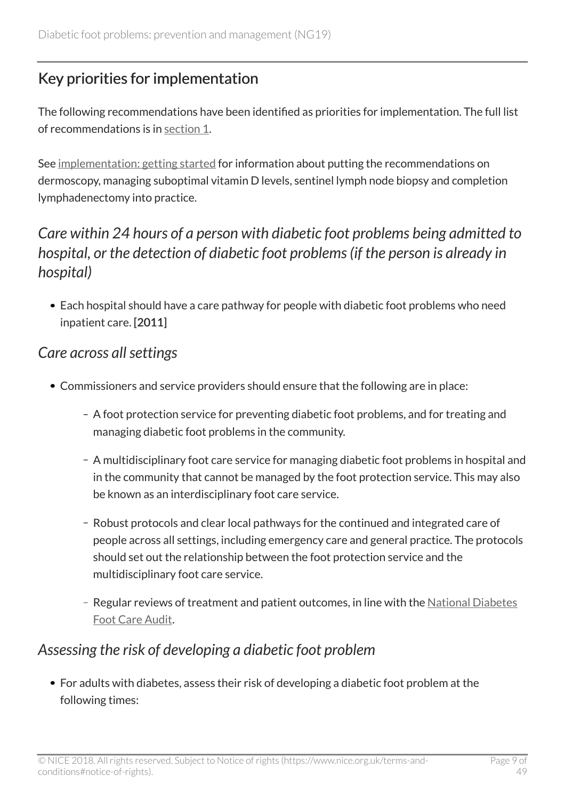# <span id="page-8-0"></span>Key priorities for implementation

The following recommendations have been identified as priorities for implementation. The full list of recommendations is in [section](http://live-publications.nice.org.uk/recommendations#recommendations) 1.

See [implementation: getting started](http://live-publications.nice.org.uk/implementation-getting-started#implementation-getting-started) for information about putting the recommendations on dermoscopy, managing suboptimal vitamin D levels, sentinel lymph node biopsy and completion lymphadenectomy into practice.

# <span id="page-8-1"></span>*Care within 24 hours of a person with diabetic foot problems being admitted to hospital, or the detection of diabetic foot problems (if the person is already in hospital)*

Each hospital should have a care pathway for people with diabetic foot problems who need inpatient care. [2011]

### <span id="page-8-2"></span>*Care across all settings*

- Commissioners and service providers should ensure that the following are in place:
	- A foot protection service for preventing diabetic foot problems, and for treating and managing diabetic foot problems in the community.
	- A multidisciplinary foot care service for managing diabetic foot problems in hospital and in the community that cannot be managed by the foot protection service. This may also be known as an interdisciplinary foot care service.
	- Robust protocols and clear local pathways for the continued and integrated care of people across all settings, including emergency care and general practice. The protocols should set out the relationship between the foot protection service and the multidisciplinary foot care service.
	- Regular reviews of treatment and patient outcomes, in line with the [National Diabetes](http://www.hscic.gov.uk/footcare) [Foot Care Audit](http://www.hscic.gov.uk/footcare).

### <span id="page-8-3"></span>*Assessing the risk of developing a diabetic foot problem*

For adults with diabetes, assess their risk of developing a diabetic foot problem at the following times: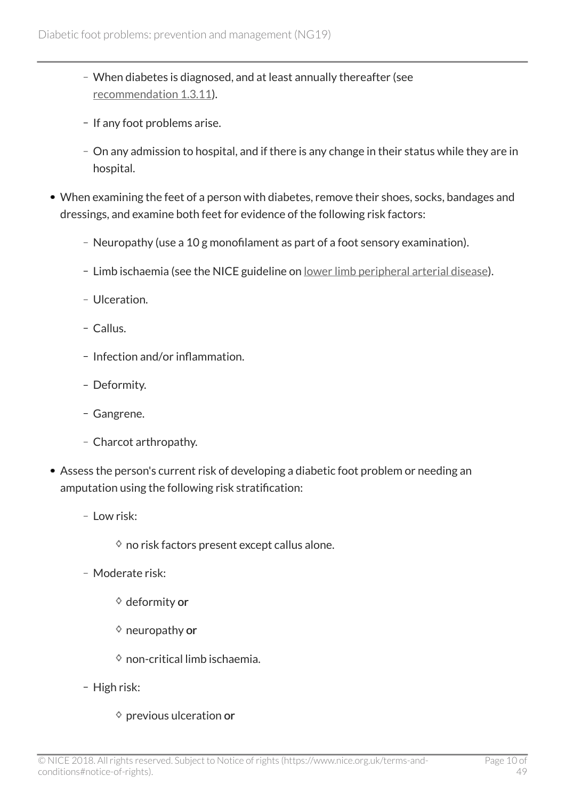- When diabetes is diagnosed, and at least annually thereafter (see [recommendation](http://live-publications.nice.org.uk/recommendations#assessing-the-risk-of-developing-a-diabetic-foot-problem-2) 1.3.11).
- If any foot problems arise.
- On any admission to hospital, and if there is any change in their status while they are in hospital.
- When examining the feet of a person with diabetes, remove their shoes, socks, bandages and dressings, and examine both feet for evidence of the following risk factors:
	- Neuropathy (use a 10 g monofilament as part of a foot sensory examination).
	- Limb ischaemia (see the NICE guideline on <u>lower limb peripheral arterial disease</u>).
	- Ulceration
	- Callus.
	- Infection and/or inflammation.
	- Deformity.
	- Gangrene.
	- Charcot arthropathy.
- Assess the person's current risk of developing a diabetic foot problem or needing an amputation using the following risk stratification:
	- Low risk:
		- $\diamond$  no risk factors present except callus alone.
	- Moderate risk:
		- $\diamond$  deformity or
		- $\diamond$  neuropathy or
		- $\diamond$  non-critical limb ischaemia.
	- High risk:
		- $\diamond$  previous ulceration or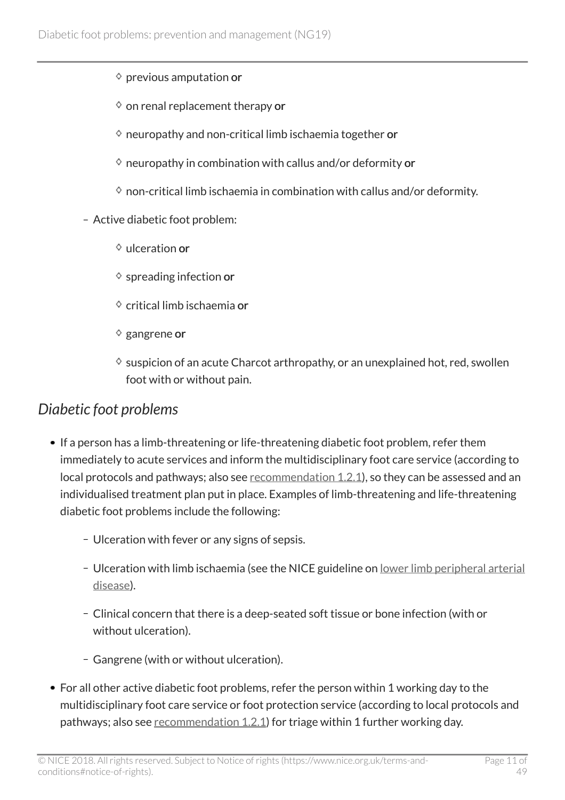- $\diamond$  previous amputation or
- $\diamond$  on renal replacement therapy or
- $\diamond$  neuropathy and non-critical limb ischaemia together or
- $\diamond$  neuropathy in combination with callus and/or deformity or
- $\Diamond$  non-critical limb ischaemia in combination with callus and/or deformity.
- Active diabetic foot problem:
	- $\Diamond$  ulceration or
	- $\diamond$  spreading infection or
	- $\diamond$  critical limb ischaemia or
	- $\diamond$  gangrene or
	- $\diamond$  suspicion of an acute Charcot arthropathy, or an unexplained hot, red, swollen foot with or without pain.

### <span id="page-10-0"></span>*Diabetic foot problems*

- If a person has a limb-threatening or life-threatening diabetic foot problem, refer them immediately to acute services and inform the multidisciplinary foot care service (according to local protocols and pathways; also see [recommendation](http://live-publications.nice.org.uk/recommendations#care-across-all-settings-2) 1.2.1), so they can be assessed and an individualised treatment plan put in place. Examples of limb-threatening and life-threatening diabetic foot problems include the following:
	- Ulceration with fever or any signs of sepsis.
	- Ulceration with limb ischaemia (see the NICE guideline on [lower limb peripheral arterial](http://www.nice.org.uk/guidance/cg147) [disease\)](http://www.nice.org.uk/guidance/cg147).
	- Clinical concern that there is a deep-seated soft tissue or bone infection (with or without ulceration).
	- Gangrene (with or without ulceration).
- For all other active diabetic foot problems, refer the person within 1 working day to the multidisciplinary foot care service or foot protection service (according to local protocols and pathways; also see [recommendation](http://live-publications.nice.org.uk/recommendations#care-across-all-settings-2) 1.2.1) for triage within 1 further working day.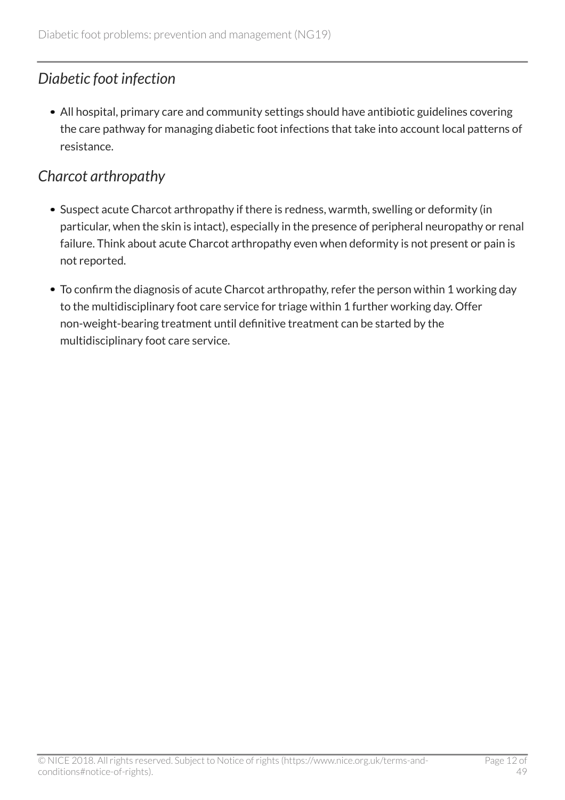# <span id="page-11-0"></span>*Diabetic foot infection*

All hospital, primary care and community settings should have antibiotic guidelines covering the care pathway for managing diabetic foot infections that take into account local patterns of resistance.

# <span id="page-11-1"></span>*Charcot arthropathy*

- Suspect acute Charcot arthropathy if there is redness, warmth, swelling or deformity (in particular, when the skin is intact), especially in the presence of peripheral neuropathy or renal failure. Think about acute Charcot arthropathy even when deformity is not present or pain is not reported.
- To confirm the diagnosis of acute Charcot arthropathy, refer the person within 1 working day to the multidisciplinary foot care service for triage within 1 further working day. Offer non-weight-bearing treatment until definitive treatment can be started by the multidisciplinary foot care service.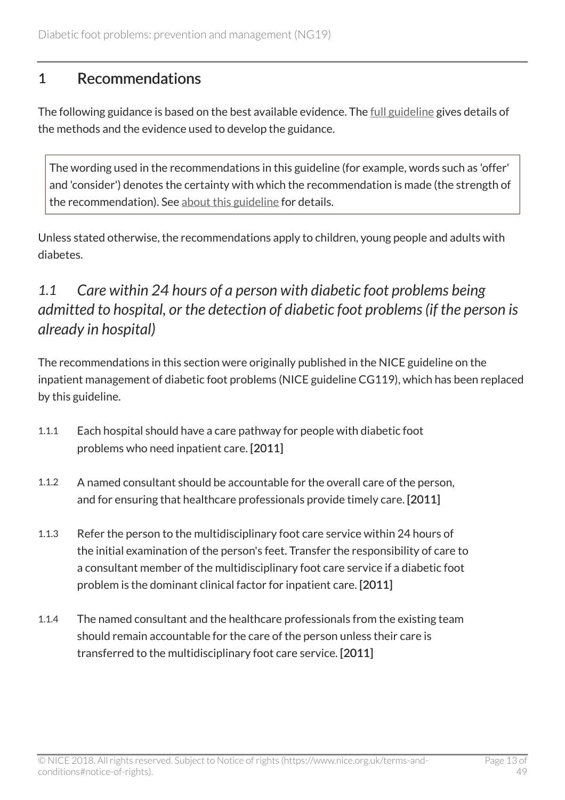### <span id="page-12-0"></span>1 Recommendations

The following guidance is based on the best available evidence. The [full guideline](http://www.nice.org.uk/guidance/NG19/Evidence) gives details of the methods and the evidence used to develop the guidance.

The wording used in the recommendations in this guideline (for example, words such as 'offer' and 'consider') denotes the certainty with which the recommendation is made (the strength of the recommendation). See [about this guideline](http://live-publications.nice.org.uk/changes-after-publication#changes-after-publication) for details.

Unless stated otherwise, the recommendations apply to children, young people and adults with diabetes.

# <span id="page-12-1"></span>*1.1 Care within 24 hours of a person with diabetic foot problems being admitted to hospital, or the detection of diabetic foot problems (if the person is already in hospital)*

The recommendations in this section were originally published in the NICE guideline on the inpatient management of diabetic foot problems (NICE guideline CG119), which has been replaced by this guideline.

- 1.1.1 Each hospital should have a care pathway for people with diabetic foot problems who need inpatient care. [2011]
- 1.1.2 A named consultant should be accountable for the overall care of the person, and for ensuring that healthcare professionals provide timely care. [2011]
- 1.1.3 Refer the person to the multidisciplinary foot care service within 24 hours of the initial examination of the person's feet. Transfer the responsibility of care to a consultant member of the multidisciplinary foot care service if a diabetic foot problem is the dominant clinical factor for inpatient care. [2011]
- 1.1.4 The named consultant and the healthcare professionals from the existing team should remain accountable for the care of the person unless their care is transferred to the multidisciplinary foot care service. [2011]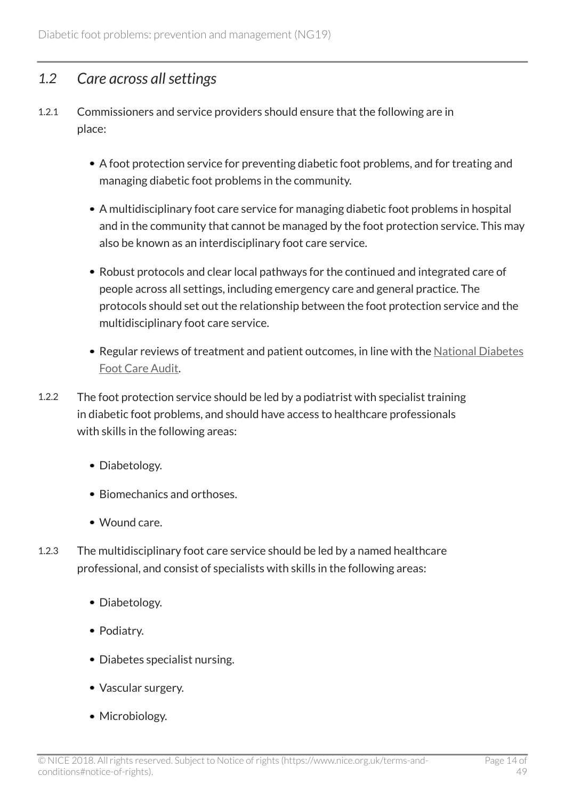### <span id="page-13-0"></span>*1.2 Care across all settings*

- 1.2.1 Commissioners and service providers should ensure that the following are in place:
	- A foot protection service for preventing diabetic foot problems, and for treating and managing diabetic foot problems in the community.
	- A multidisciplinary foot care service for managing diabetic foot problems in hospital and in the community that cannot be managed by the foot protection service. This may also be known as an interdisciplinary foot care service.
	- Robust protocols and clear local pathways for the continued and integrated care of people across all settings, including emergency care and general practice. The protocols should set out the relationship between the foot protection service and the multidisciplinary foot care service.
	- Regular reviews of treatment and patient outcomes, in line with the [National Diabetes](http://www.hscic.gov.uk/footcare) [Foot Care Audit.](http://www.hscic.gov.uk/footcare)
- 1.2.2 The foot protection service should be led by a podiatrist with specialist training in diabetic foot problems, and should have access to healthcare professionals with skills in the following areas:
	- Diabetology.
	- Biomechanics and orthoses
	- Wound care.
- 1.2.3 The multidisciplinary foot care service should be led by a named healthcare professional, and consist of specialists with skills in the following areas:
	- Diabetology.
	- Podiatry.
	- Diabetes specialist nursing.
	- Vascular surgery.
	- Microbiology.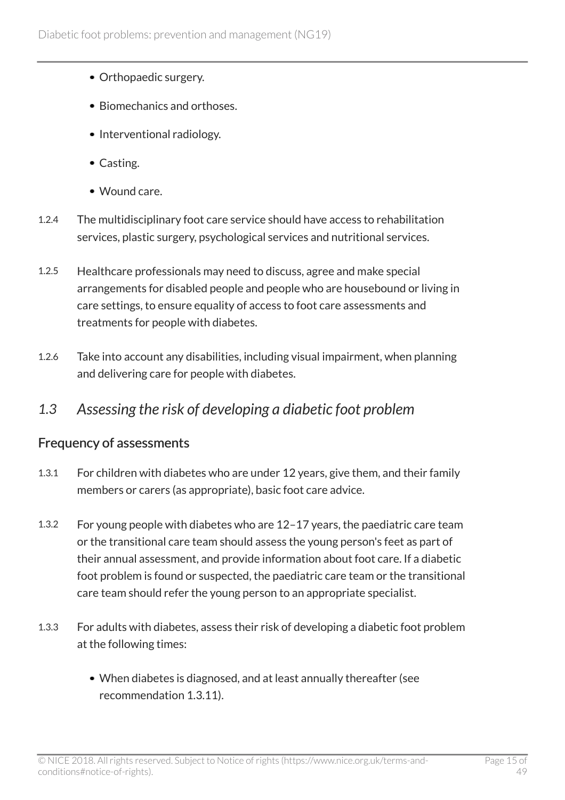- Orthopaedic surgery.
- Biomechanics and orthoses.
- Interventional radiology.
- Casting.
- Wound care.
- 1.2.4 The multidisciplinary foot care service should have access to rehabilitation services, plastic surgery, psychological services and nutritional services.
- 1.2.5 Healthcare professionals may need to discuss, agree and make special arrangements for disabled people and people who are housebound or living in care settings, to ensure equality of access to foot care assessments and treatments for people with diabetes.
- 1.2.6 Take into account any disabilities, including visual impairment, when planning and delivering care for people with diabetes.

### <span id="page-14-0"></span>*1.3 Assessing the risk of developing a diabetic foot problem*

### Frequency of assessments

- 1.3.1 For children with diabetes who are under 12 years, give them, and their family members or carers (as appropriate), basic foot care advice.
- 1.3.2 For young people with diabetes who are 12–17 years, the paediatric care team or the transitional care team should assess the young person's feet as part of their annual assessment, and provide information about foot care. If a diabetic foot problem is found or suspected, the paediatric care team or the transitional care team should refer the young person to an appropriate specialist.
- 1.3.3 For adults with diabetes, assess their risk of developing a diabetic foot problem at the following times:
	- When diabetes is diagnosed, and at least annually thereafter (see recommendation 1.3.11).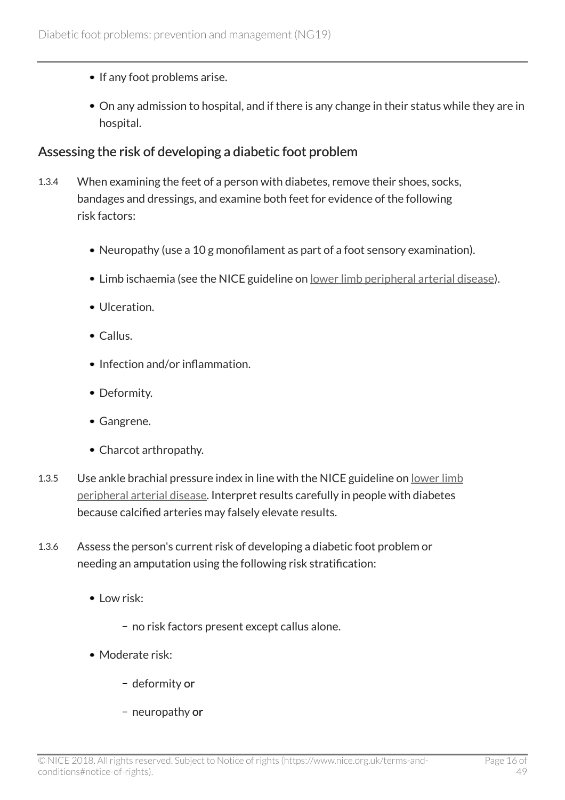- If any foot problems arise.
- On any admission to hospital, and if there is any change in their status while they are in hospital.

#### Assessing the risk of developing a diabetic foot problem

- 1.3.4 When examining the feet of a person with diabetes, remove their shoes, socks, bandages and dressings, and examine both feet for evidence of the following risk factors:
	- Neuropathy (use a 10 g monofilament as part of a foot sensory examination).
	- Limb ischaemia (see the NICE guideline on [lower limb peripheral arterial disease](http://www.nice.org.uk/guidance/cg147)).
	- Ulceration.
	- Callus.
	- Infection and/or inflammation.
	- Deformity.
	- Gangrene.
	- Charcot arthropathy.
- 1.3.5 Use ankle brachial pressure index in line with the NICE guideline on [lower limb](http://www.nice.org.uk/guidance/cg147) [peripheral arterial disease.](http://www.nice.org.uk/guidance/cg147) Interpret results carefully in people with diabetes because calcified arteries may falsely elevate results.
- 1.3.6 Assess the person's current risk of developing a diabetic foot problem or needing an amputation using the following risk stratification:
	- $\bullet$  Low risk:
		- no risk factors present except callus alone.
	- Moderate risk:
		- deformity or
		- neuropathy or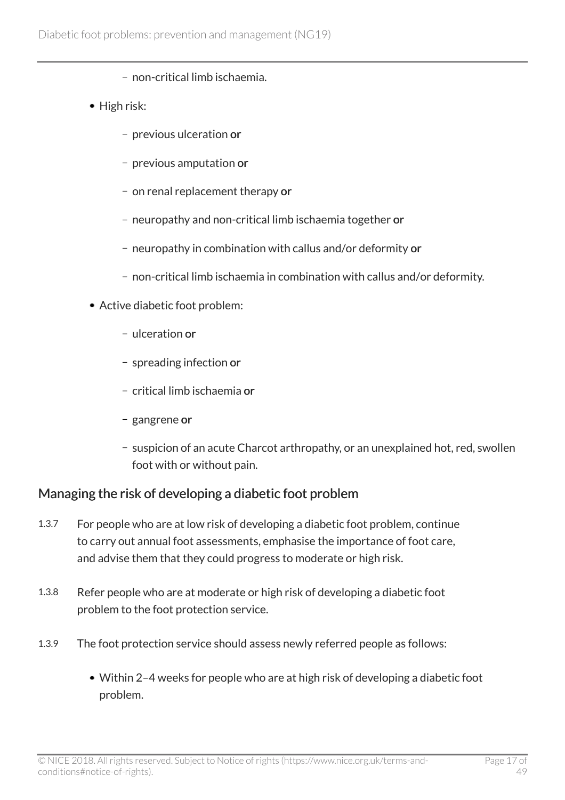- non-critical limb ischaemia.
- High risk:
	- previous ulceration or
	- previous amputation or
	- on renal replacement therapy or
	- neuropathy and non-critical limb ischaemia together or
	- neuropathy in combination with callus and/or deformity or
	- non-critical limb ischaemia in combination with callus and/or deformity.
- Active diabetic foot problem:
	- ulceration or
	- spreading infection or
	- critical limb ischaemia or
	- gangrene or
	- suspicion of an acute Charcot arthropathy, or an unexplained hot, red, swollen foot with or without pain.

### Managing the risk of developing a diabetic foot problem

- 1.3.7 For people who are at low risk of developing a diabetic foot problem, continue to carry out annual foot assessments, emphasise the importance of foot care, and advise them that they could progress to moderate or high risk.
- 1.3.8 Refer people who are at moderate or high risk of developing a diabetic foot problem to the foot protection service.
- 1.3.9 The foot protection service should assess newly referred people as follows:
	- Within 2–4 weeks for people who are at high risk of developing a diabetic foot problem.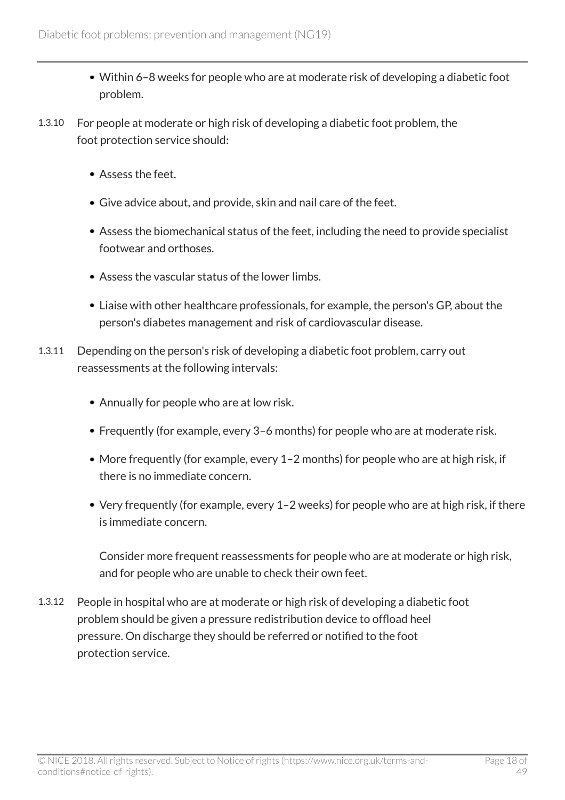- Within 6–8 weeks for people who are at moderate risk of developing a diabetic foot problem.
- 1.3.10 For people at moderate or high risk of developing a diabetic foot problem, the foot protection service should:
	- Assess the feet.
	- Give advice about, and provide, skin and nail care of the feet.
	- Assess the biomechanical status of the feet, including the need to provide specialist footwear and orthoses.
	- Assess the vascular status of the lower limbs.
	- Liaise with other healthcare professionals, for example, the person's GP, about the person's diabetes management and risk of cardiovascular disease.
- 1.3.11 Depending on the person's risk of developing a diabetic foot problem, carry out reassessments at the following intervals:
	- Annually for people who are at low risk.
	- Frequently (for example, every 3–6 months) for people who are at moderate risk.
	- More frequently (for example, every 1-2 months) for people who are at high risk, if there is no immediate concern.
	- Very frequently (for example, every 1–2 weeks) for people who are at high risk, if there is immediate concern.

Consider more frequent reassessments for people who are at moderate or high risk, and for people who are unable to check their own feet.

1.3.12 People in hospital who are at moderate or high risk of developing a diabetic foot problem should be given a pressure redistribution device to offload heel pressure. On discharge they should be referred or notified to the foot protection service.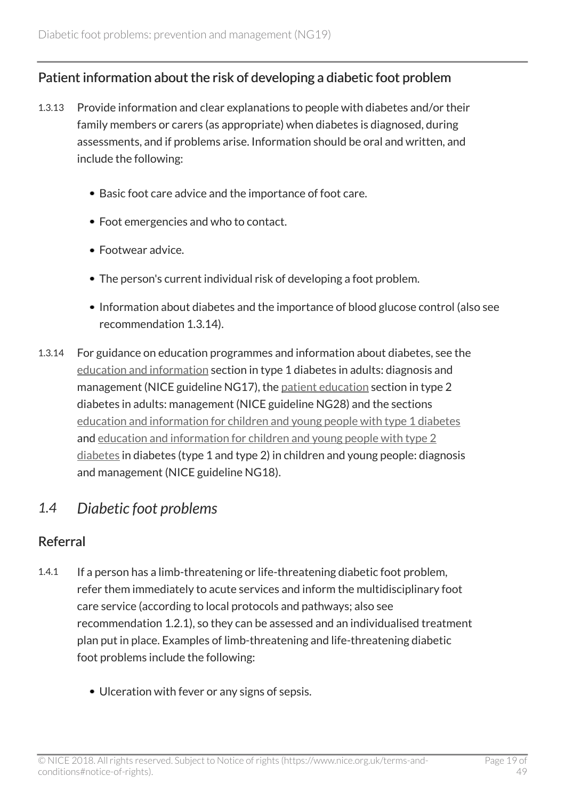### Patient information about the risk of developing a diabetic foot problem

- 1.3.13 Provide information and clear explanations to people with diabetes and/or their family members or carers (as appropriate) when diabetes is diagnosed, during assessments, and if problems arise. Information should be oral and written, and include the following:
	- Basic foot care advice and the importance of foot care.
	- Foot emergencies and who to contact.
	- Footwear advice.
	- The person's current individual risk of developing a foot problem.
	- Information about diabetes and the importance of blood glucose control (also see recommendation 1.3.14).
- 1.3.14 For guidance on education programmes and information about diabetes, see the [education and information](http://www.nice.org.uk/guidance/ng17/chapter/1-Recommendations#education-and-information-2) section in type 1 diabetes in adults: diagnosis and management (NICE guideline NG17), the [patient education](http://www.nice.org.uk/guidance/ng28/chapter/1-Recommendations#patient-education-2) section in type 2 diabetes in adults: management (NICE guideline NG28) and the sections [education and information for children and young people with type 1 diabetes](http://www.nice.org.uk/guidance/NG18/chapter/1-Recommendations#type-1-diabetes) and [education and information for children and young people with type 2](http://www.nice.org.uk/guidance/NG18/chapter/1-Recommendations#type-2-diabetes) [diabetes](http://www.nice.org.uk/guidance/NG18/chapter/1-Recommendations#type-2-diabetes) in diabetes (type 1 and type 2) in children and young people: diagnosis and management (NICE guideline NG18).

### <span id="page-18-0"></span>*1.4 Diabetic foot problems*

### Referral

- 1.4.1 If a person has a limb-threatening or life-threatening diabetic foot problem, refer them immediately to acute services and inform the multidisciplinary foot care service (according to local protocols and pathways; also see recommendation 1.2.1), so they can be assessed and an individualised treatment plan put in place. Examples of limb-threatening and life-threatening diabetic foot problems include the following:
	- Ulceration with fever or any signs of sepsis.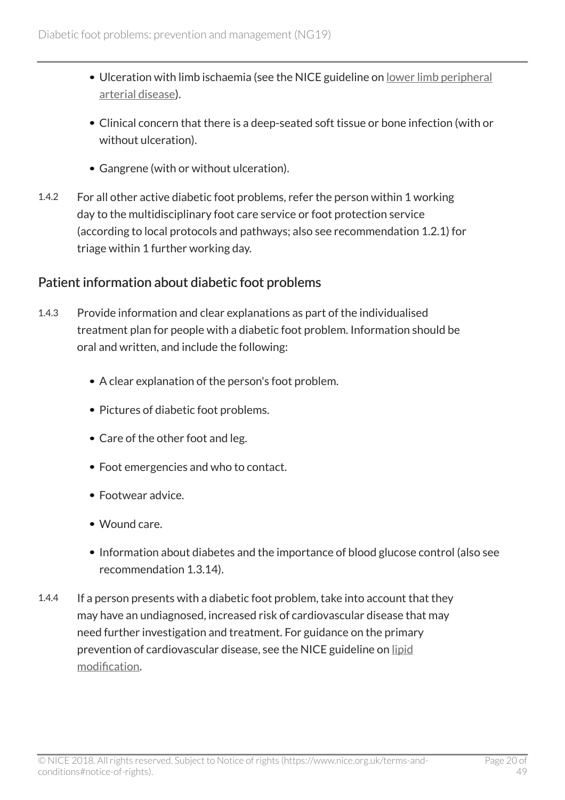- Ulceration with limb ischaemia (see the NICE guideline on [lower limb peripheral](http://www.nice.org.uk/guidance/cg147) [arterial disease\)](http://www.nice.org.uk/guidance/cg147).
- Clinical concern that there is a deep-seated soft tissue or bone infection (with or without ulceration).
- Gangrene (with or without ulceration).
- 1.4.2 For all other active diabetic foot problems, refer the person within 1 working day to the multidisciplinary foot care service or foot protection service (according to local protocols and pathways; also see recommendation 1.2.1) for triage within 1 further working day.

### Patient information about diabetic foot problems

- 1.4.3 Provide information and clear explanations as part of the individualised treatment plan for people with a diabetic foot problem. Information should be oral and written, and include the following:
	- A clear explanation of the person's foot problem.
	- Pictures of diabetic foot problems.
	- Care of the other foot and leg.
	- Foot emergencies and who to contact.
	- Footwear advice.
	- Wound care.
	- Information about diabetes and the importance of blood glucose control (also see recommendation 1.3.14).
- 1.4.4 If a person presents with a diabetic foot problem, take into account that they may have an undiagnosed, increased risk of cardiovascular disease that may need further investigation and treatment. For guidance on the primary prevention of cardiovascular disease, see the NICE guideline on [lipid](http://www.nice.org.uk/guidance/cg181) [modification.](http://www.nice.org.uk/guidance/cg181)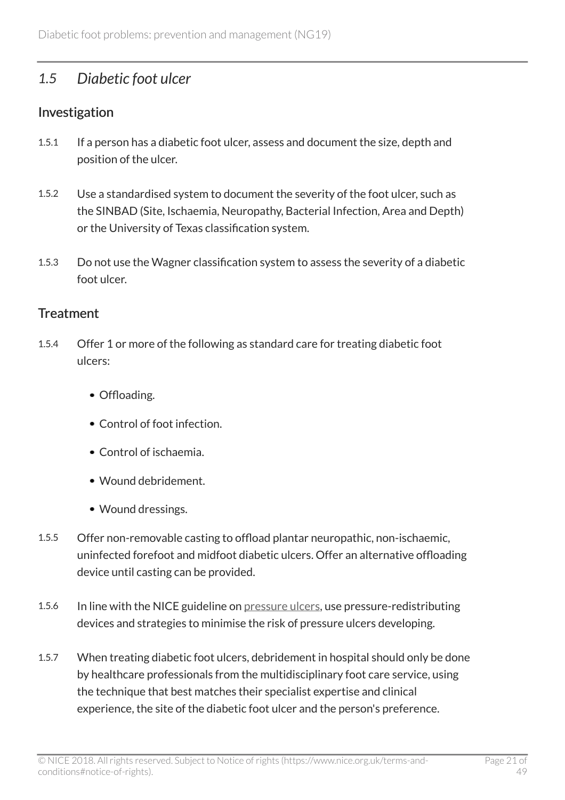### <span id="page-20-0"></span>*1.5 Diabetic foot ulcer*

### Investigation

- 1.5.1 If a person has a diabetic foot ulcer, assess and document the size, depth and position of the ulcer.
- 1.5.2 Use a standardised system to document the severity of the foot ulcer, such as the SINBAD (Site, Ischaemia, Neuropathy, Bacterial Infection, Area and Depth) or the University of Texas classification system.
- 1.5.3 Do not use the Wagner classification system to assess the severity of a diabetic foot ulcer.

#### **Treatment**

- 1.5.4 Offer 1 or more of the following as standard care for treating diabetic foot ulcers:
	- Offloading.
	- Control of foot infection.
	- Control of ischaemia.
	- Wound debridement.
	- Wound dressings.
- 1.5.5 Offer non-removable casting to offload plantar neuropathic, non-ischaemic, uninfected forefoot and midfoot diabetic ulcers. Offer an alternative offloading device until casting can be provided.
- 1.5.6 In line with the NICE guideline on [pressure ulcers,](http://www.nice.org.uk/guidance/cg179) use pressure-redistributing devices and strategies to minimise the risk of pressure ulcers developing.
- 1.5.7 When treating diabetic foot ulcers, debridement in hospital should only be done by healthcare professionals from the multidisciplinary foot care service, using the technique that best matches their specialist expertise and clinical experience, the site of the diabetic foot ulcer and the person's preference.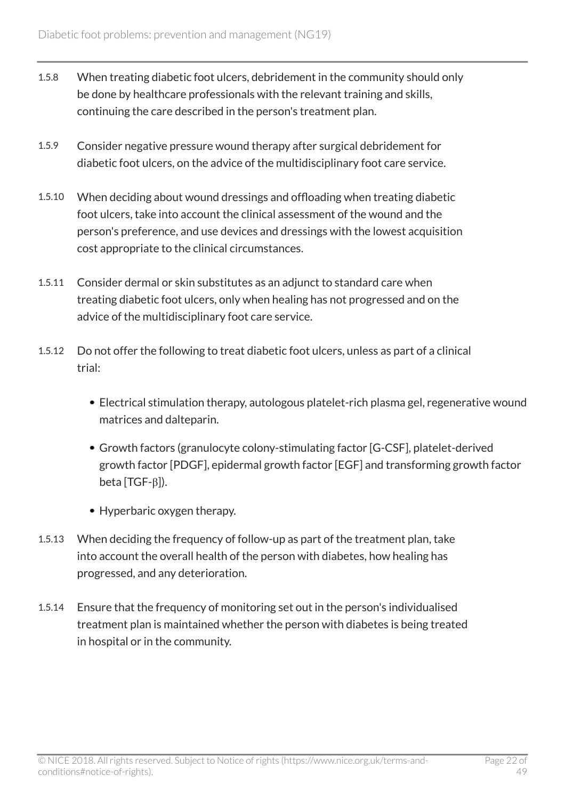- 1.5.8 When treating diabetic foot ulcers, debridement in the community should only be done by healthcare professionals with the relevant training and skills, continuing the care described in the person's treatment plan.
- 1.5.9 Consider negative pressure wound therapy after surgical debridement for diabetic foot ulcers, on the advice of the multidisciplinary foot care service.
- 1.5.10 When deciding about wound dressings and offloading when treating diabetic foot ulcers, take into account the clinical assessment of the wound and the person's preference, and use devices and dressings with the lowest acquisition cost appropriate to the clinical circumstances.
- 1.5.11 Consider dermal or skin substitutes as an adjunct to standard care when treating diabetic foot ulcers, only when healing has not progressed and on the advice of the multidisciplinary foot care service.
- 1.5.12 Do not offer the following to treat diabetic foot ulcers, unless as part of a clinical trial:
	- Electrical stimulation therapy, autologous platelet-rich plasma gel, regenerative wound matrices and dalteparin.
	- Growth factors (granulocyte colony-stimulating factor [G-CSF], platelet-derived growth factor [PDGF], epidermal growth factor [EGF] and transforming growth factor beta [TGF-β]).
	- Hyperbaric oxygen therapy.
- 1.5.13 When deciding the frequency of follow-up as part of the treatment plan, take into account the overall health of the person with diabetes, how healing has progressed, and any deterioration.
- 1.5.14 Ensure that the frequency of monitoring set out in the person's individualised treatment plan is maintained whether the person with diabetes is being treated in hospital or in the community.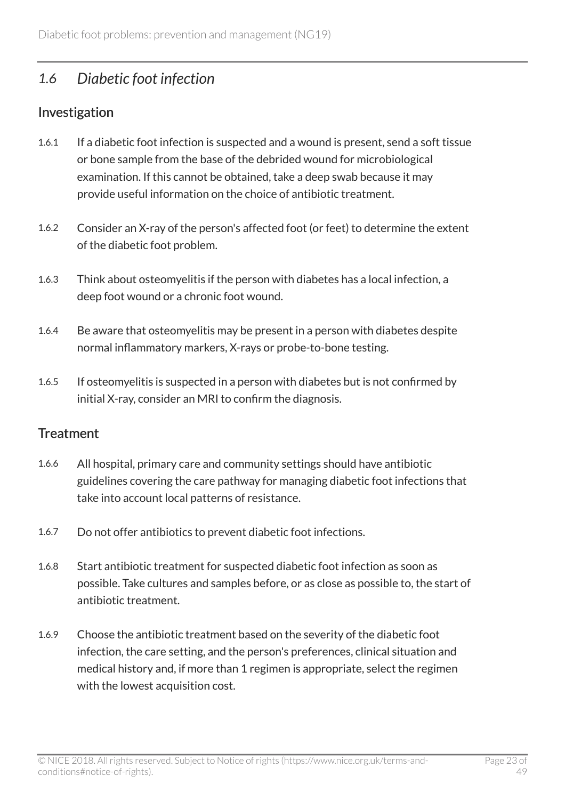### <span id="page-22-0"></span>*1.6 Diabetic foot infection*

### Investigation

- 1.6.1 If a diabetic foot infection is suspected and a wound is present, send a soft tissue or bone sample from the base of the debrided wound for microbiological examination. If this cannot be obtained, take a deep swab because it may provide useful information on the choice of antibiotic treatment.
- 1.6.2 Consider an X-ray of the person's affected foot (or feet) to determine the extent of the diabetic foot problem.
- 1.6.3 Think about osteomyelitis if the person with diabetes has a local infection, a deep foot wound or a chronic foot wound.
- 1.6.4 Be aware that osteomyelitis may be present in a person with diabetes despite normal inflammatory markers, X-rays or probe-to-bone testing.
- 1.6.5 If osteomyelitis is suspected in a person with diabetes but is not confirmed by initial X-ray, consider an MRI to confirm the diagnosis.

### **Treatment**

- 1.6.6 All hospital, primary care and community settings should have antibiotic guidelines covering the care pathway for managing diabetic foot infections that take into account local patterns of resistance.
- 1.6.7 Do not offer antibiotics to prevent diabetic foot infections.
- 1.6.8 Start antibiotic treatment for suspected diabetic foot infection as soon as possible. Take cultures and samples before, or as close as possible to, the start of antibiotic treatment.
- 1.6.9 Choose the antibiotic treatment based on the severity of the diabetic foot infection, the care setting, and the person's preferences, clinical situation and medical history and, if more than 1 regimen is appropriate, select the regimen with the lowest acquisition cost.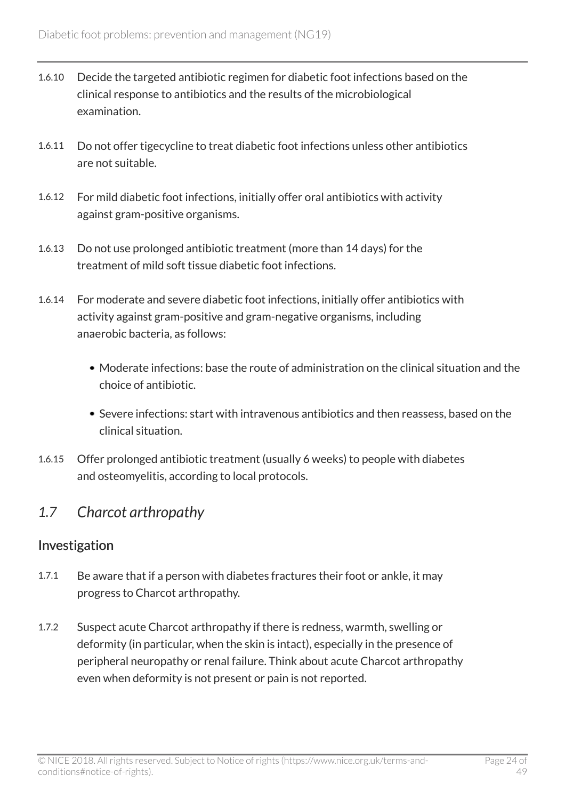- 1.6.10 Decide the targeted antibiotic regimen for diabetic foot infections based on the clinical response to antibiotics and the results of the microbiological examination.
- 1.6.11 Do not offer tigecycline to treat diabetic foot infections unless other antibiotics are not suitable.
- 1.6.12 For mild diabetic foot infections, initially offer oral antibiotics with activity against gram-positive organisms.
- 1.6.13 Do not use prolonged antibiotic treatment (more than 14 days) for the treatment of mild soft tissue diabetic foot infections.
- 1.6.14 For moderate and severe diabetic foot infections, initially offer antibiotics with activity against gram-positive and gram-negative organisms, including anaerobic bacteria, as follows:
	- Moderate infections: base the route of administration on the clinical situation and the choice of antibiotic.
	- Severe infections: start with intravenous antibiotics and then reassess, based on the clinical situation.
- 1.6.15 Offer prolonged antibiotic treatment (usually 6 weeks) to people with diabetes and osteomyelitis, according to local protocols.

### <span id="page-23-0"></span>*1.7 Charcot arthropathy*

### Investigation

- 1.7.1 Be aware that if a person with diabetes fractures their foot or ankle, it may progress to Charcot arthropathy.
- 1.7.2 Suspect acute Charcot arthropathy if there is redness, warmth, swelling or deformity (in particular, when the skin is intact), especially in the presence of peripheral neuropathy or renal failure. Think about acute Charcot arthropathy even when deformity is not present or pain is not reported.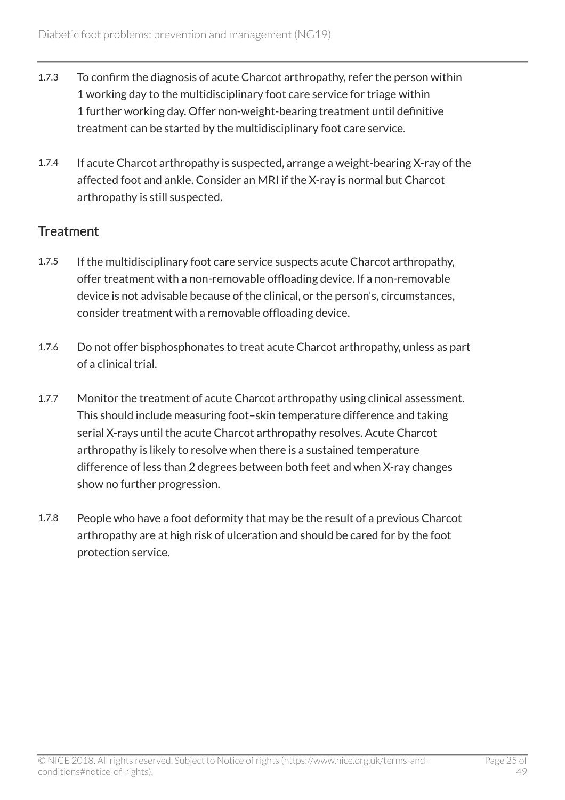- 1.7.3 To confirm the diagnosis of acute Charcot arthropathy, refer the person within 1 working day to the multidisciplinary foot care service for triage within 1 further working day. Offer non-weight-bearing treatment until definitive treatment can be started by the multidisciplinary foot care service.
- 1.7.4 If acute Charcot arthropathy is suspected, arrange a weight-bearing X-ray of the affected foot and ankle. Consider an MRI if the X-ray is normal but Charcot arthropathy is still suspected.

### **Treatment**

- 1.7.5 If the multidisciplinary foot care service suspects acute Charcot arthropathy, offer treatment with a non-removable offloading device. If a non-removable device is not advisable because of the clinical, or the person's, circumstances, consider treatment with a removable offloading device.
- 1.7.6 Do not offer bisphosphonates to treat acute Charcot arthropathy, unless as part of a clinical trial.
- 1.7.7 Monitor the treatment of acute Charcot arthropathy using clinical assessment. This should include measuring foot–skin temperature difference and taking serial X-rays until the acute Charcot arthropathy resolves. Acute Charcot arthropathy is likely to resolve when there is a sustained temperature difference of less than 2 degrees between both feet and when X-ray changes show no further progression.
- 1.7.8 People who have a foot deformity that may be the result of a previous Charcot arthropathy are at high risk of ulceration and should be cared for by the foot protection service.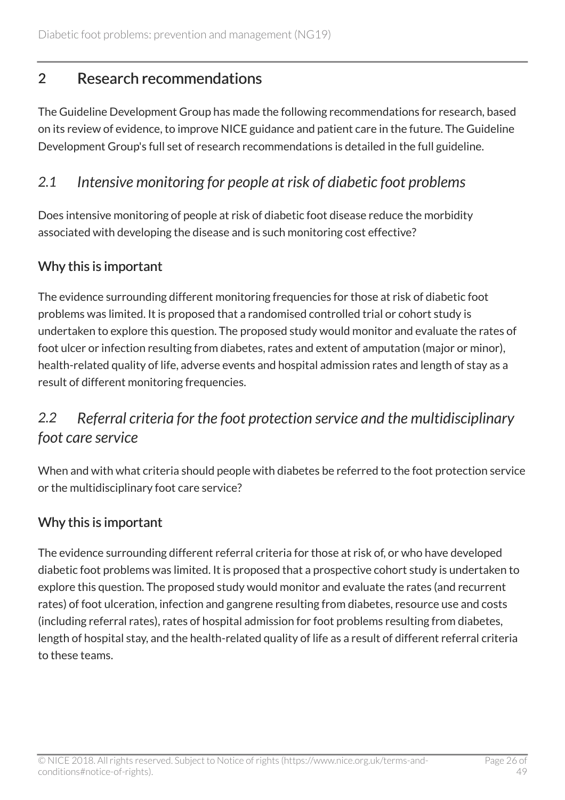# <span id="page-25-0"></span>2 Research recommendations

The Guideline Development Group has made the following recommendations for research, based on its review of evidence, to improve NICE guidance and patient care in the future. The Guideline Development Group's full set of research recommendations is detailed in the full guideline.

### <span id="page-25-1"></span>*2.1 Intensive monitoring for people at risk of diabetic foot problems*

Does intensive monitoring of people at risk of diabetic foot disease reduce the morbidity associated with developing the disease and is such monitoring cost effective?

### Why this is important

The evidence surrounding different monitoring frequencies for those at risk of diabetic foot problems was limited. It is proposed that a randomised controlled trial or cohort study is undertaken to explore this question. The proposed study would monitor and evaluate the rates of foot ulcer or infection resulting from diabetes, rates and extent of amputation (major or minor), health-related quality of life, adverse events and hospital admission rates and length of stay as a result of different monitoring frequencies.

# <span id="page-25-2"></span>*2.2 Referral criteria for the foot protection service and the multidisciplinary foot care service*

When and with what criteria should people with diabetes be referred to the foot protection service or the multidisciplinary foot care service?

### Why this is important

The evidence surrounding different referral criteria for those at risk of, or who have developed diabetic foot problems was limited. It is proposed that a prospective cohort study is undertaken to explore this question. The proposed study would monitor and evaluate the rates (and recurrent rates) of foot ulceration, infection and gangrene resulting from diabetes, resource use and costs (including referral rates), rates of hospital admission for foot problems resulting from diabetes, length of hospital stay, and the health-related quality of life as a result of different referral criteria to these teams.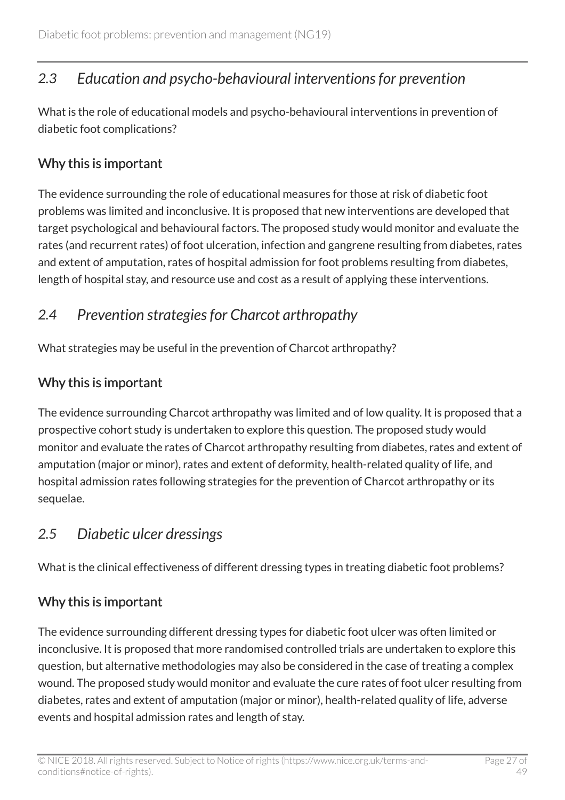# <span id="page-26-0"></span>*2.3 Education and psycho-behavioural interventions for prevention*

What is the role of educational models and psycho-behavioural interventions in prevention of diabetic foot complications?

### Why this is important

The evidence surrounding the role of educational measures for those at risk of diabetic foot problems was limited and inconclusive. It is proposed that new interventions are developed that target psychological and behavioural factors. The proposed study would monitor and evaluate the rates (and recurrent rates) of foot ulceration, infection and gangrene resulting from diabetes, rates and extent of amputation, rates of hospital admission for foot problems resulting from diabetes, length of hospital stay, and resource use and cost as a result of applying these interventions.

# <span id="page-26-1"></span>*2.4 Prevention strategies for Charcot arthropathy*

What strategies may be useful in the prevention of Charcot arthropathy?

### Why this is important

The evidence surrounding Charcot arthropathy was limited and of low quality. It is proposed that a prospective cohort study is undertaken to explore this question. The proposed study would monitor and evaluate the rates of Charcot arthropathy resulting from diabetes, rates and extent of amputation (major or minor), rates and extent of deformity, health-related quality of life, and hospital admission rates following strategies for the prevention of Charcot arthropathy or its sequelae.

### <span id="page-26-2"></span>*2.5 Diabetic ulcer dressings*

What is the clinical effectiveness of different dressing types in treating diabetic foot problems?

### Why this is important

The evidence surrounding different dressing types for diabetic foot ulcer was often limited or inconclusive. It is proposed that more randomised controlled trials are undertaken to explore this question, but alternative methodologies may also be considered in the case of treating a complex wound. The proposed study would monitor and evaluate the cure rates of foot ulcer resulting from diabetes, rates and extent of amputation (major or minor), health-related quality of life, adverse events and hospital admission rates and length of stay.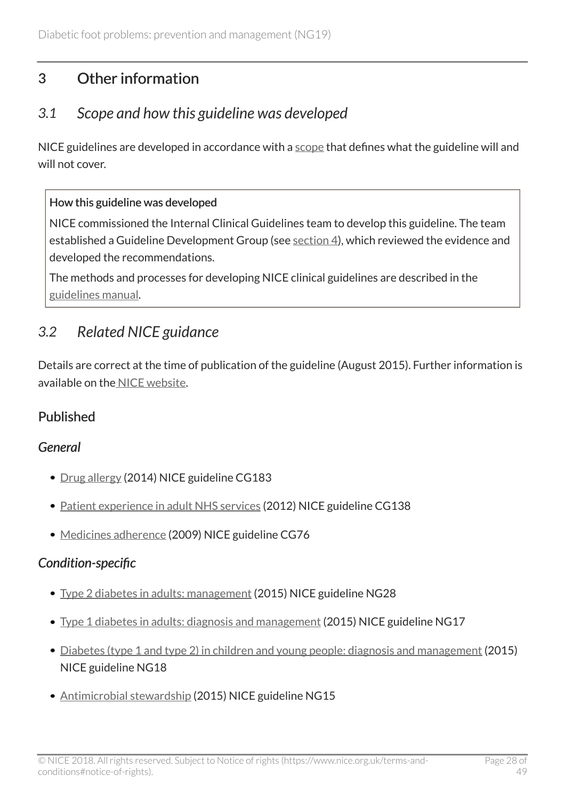# <span id="page-27-0"></span>3 Other information

### <span id="page-27-1"></span>*3.1 Scope and how this guideline was developed*

NICE guidelines are developed in accordance with a [scope](http://www.nice.org.uk/Guidance/ng19/documents) that defines what the guideline will and will not cover.

#### How this guideline was developed

NICE commissioned the Internal Clinical Guidelines team to develop this guideline. The team established a Guideline Development Group (see [section](http://live-publications.nice.org.uk/the-guideline-development-group-internal-clinical-guidelines-team-and-nice-project-team-and#the-guideline-development-group-internal-clinical-guidelines-team-and-nice-project-team-and) 4), which reviewed the evidence and developed the recommendations.

The methods and processes for developing NICE clinical guidelines are described in the [guidelines manual.](http://www.nice.org.uk/article/PMG6/chapter/1%20Introduction)

# <span id="page-27-2"></span>*3.2 Related NICE guidance*

Details are correct at the time of publication of the guideline (August 2015). Further information is available on the [NICE website.](http://www.nice.org.uk/)

### Published

### *General*

- [Drug allergy](http://www.nice.org.uk/guidance/cg183) (2014) NICE guideline CG183
- [Patient experience in adult NHS services](http://www.nice.org.uk/guidance/cg138) (2012) NICE guideline CG138
- [Medicines adherence](http://www.nice.org.uk/guidance/cg76) (2009) NICE guideline CG76

### *Condition-specific*

- [Type 2 diabetes in adults: management](http://www.nice.org.uk/guidance/ng28) (2015) NICE guideline NG28
- [Type 1 diabetes in adults: diagnosis and management](http://www.nice.org.uk/guidance/ng17) (2015) NICE guideline NG17
- [Diabetes \(type 1 and type 2\) in children and young people: diagnosis and management](http://www.nice.org.uk/guidance/ng18) (2015) NICE guideline NG18
- [Antimicrobial stewardship](http://www.nice.org.uk/guidance/ng15) (2015) NICE guideline NG15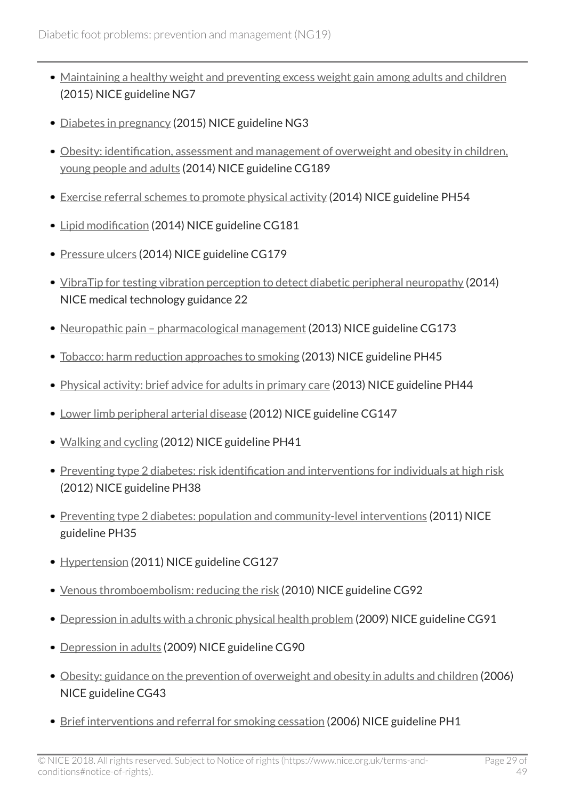- [Maintaining a healthy weight and preventing excess weight gain among adults and children](http://www.nice.org.uk/guidance/ng7) (2015) NICE guideline NG7
- [Diabetes in pregnancy](http://www.nice.org.uk/guidance/ng3) (2015) NICE guideline NG3
- [Obesity: identification, assessment and management of overweight and obesity in children,](http://www.nice.org.uk/guidance/cg189) [young people and adults](http://www.nice.org.uk/guidance/cg189) (2014) NICE guideline CG189
- [Exercise referral schemes to promote physical activity](http://www.nice.org.uk/guidance/ph54) (2014) NICE guideline PH54
- [Lipid modification](http://www.nice.org.uk/guidance/cg181) (2014) NICE guideline CG181
- [Pressure ulcers](http://www.nice.org.uk/guidance/cg179) (2014) NICE guideline CG179
- [VibraTip for testing vibration perception to detect diabetic peripheral neuropathy](http://www.nice.org.uk/guidance/mtg22) (2014) NICE medical technology guidance 22
- Neuropathic pain pharmacological management (2013) NICE guideline CG173
- [Tobacco: harm reduction approaches to smoking](http://www.nice.org.uk/guidance/ph45) (2013) NICE guideline PH45
- [Physical activity: brief advice for adults in primary care](http://www.nice.org.uk/guidance/ph44) (2013) NICE guideline PH44
- [Lower limb peripheral arterial disease](http://www.nice.org.uk/guidance/cg147) (2012) NICE guideline CG147
- [Walking and cycling](http://www.nice.org.uk/guidance/ph41) (2012) NICE guideline PH41
- [Preventing type 2 diabetes: risk identification and interventions for individuals at high risk](http://www.nice.org.uk/guidance/ph38) (2012) NICE guideline PH38
- [Preventing type 2 diabetes: population and community-level interventions](http://www.nice.org.uk/guidance/ph35) (2011) NICE guideline PH35
- [Hypertension](http://www.nice.org.uk/guidance/cg127) (2011) NICE guideline CG127
- [Venous thromboembolism: reducing the risk](http://www.nice.org.uk/guidance/cg92) (2010) NICE guideline CG92
- [Depression in adults with a chronic physical health problem](http://www.nice.org.uk/guidance/cg91) (2009) NICE guideline CG91
- [Depression in adults](http://www.nice.org.uk/guidance/cg90) (2009) NICE guideline CG90
- [Obesity: guidance on the prevention of overweight and obesity in adults and children](http://www.nice.org.uk/guidance/cg43) (2006) NICE guideline CG43
- [Brief interventions and referral for smoking cessation](http://www.nice.org.uk/guidance/ph1) (2006) NICE guideline PH1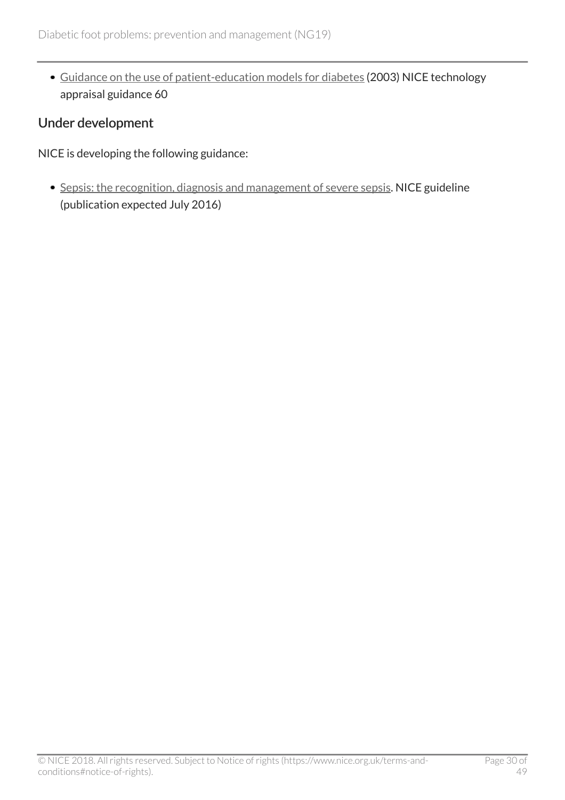[Guidance on the use of patient-education models for diabetes](http://www.nice.org.uk/guidance/ta60) (2003) NICE technology appraisal guidance 60

#### Under development

NICE is developing the following guidance:

• [Sepsis: the recognition, diagnosis and management of severe sepsis.](https://www.nice.org.uk/guidance/indevelopment/gid-cgwave0686) NICE guideline (publication expected July 2016)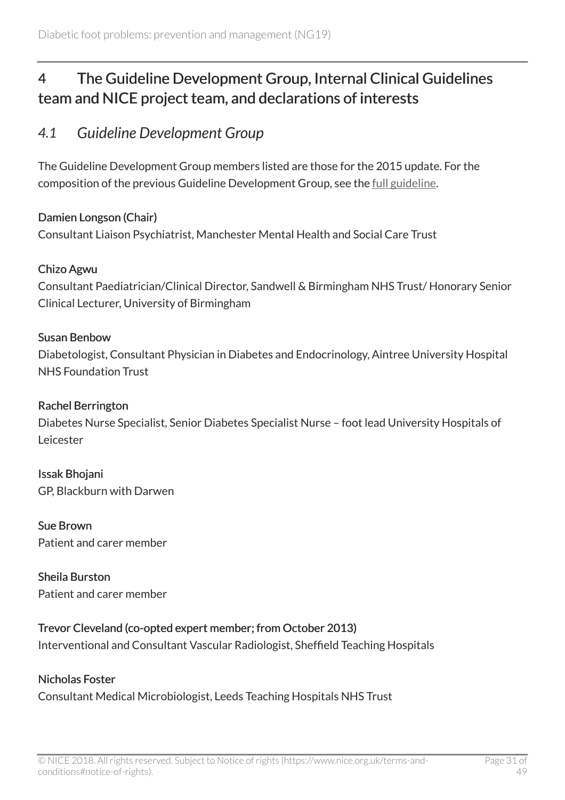# <span id="page-30-0"></span>4 The Guideline Development Group, Internal Clinical Guidelines team and NICE project team, and declarations of interests

### <span id="page-30-1"></span>*4.1 Guideline Development Group*

The Guideline Development Group members listed are those for the 2015 update. For the composition of the previous Guideline Development Group, see the [full guideline](http://www.nice.org.uk/guidance/NG19/Evidence).

#### Damien Longson (Chair)

Consultant Liaison Psychiatrist, Manchester Mental Health and Social Care Trust

#### Chizo Agwu

Consultant Paediatrician/Clinical Director, Sandwell & Birmingham NHS Trust/ Honorary Senior Clinical Lecturer, University of Birmingham

#### Susan Benbow

Diabetologist, Consultant Physician in Diabetes and Endocrinology, Aintree University Hospital NHS Foundation Trust

#### Rachel Berrington

Diabetes Nurse Specialist, Senior Diabetes Specialist Nurse – foot lead University Hospitals of Leicester

Issak Bhojani GP, Blackburn with Darwen

Sue Brown Patient and carer member

Sheila Burston Patient and carer member

#### Trevor Cleveland (co-opted expert member; from October 2013)

Interventional and Consultant Vascular Radiologist, Sheffield Teaching Hospitals

#### Nicholas Foster

Consultant Medical Microbiologist, Leeds Teaching Hospitals NHS Trust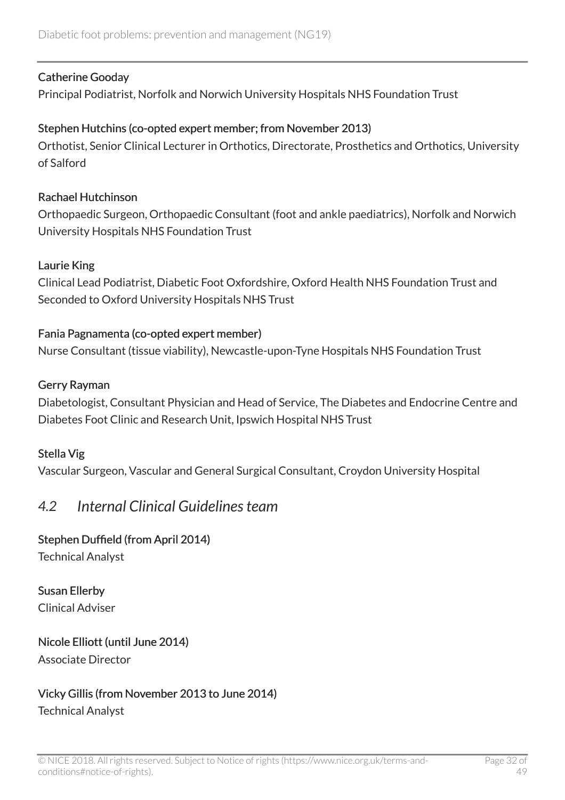#### Catherine Gooday

Principal Podiatrist, Norfolk and Norwich University Hospitals NHS Foundation Trust

#### Stephen Hutchins (co-opted expert member; from November 2013)

Orthotist, Senior Clinical Lecturer in Orthotics, Directorate, Prosthetics and Orthotics, University of Salford

#### Rachael Hutchinson

Orthopaedic Surgeon, Orthopaedic Consultant (foot and ankle paediatrics), Norfolk and Norwich University Hospitals NHS Foundation Trust

#### Laurie King

Clinical Lead Podiatrist, Diabetic Foot Oxfordshire, Oxford Health NHS Foundation Trust and Seconded to Oxford University Hospitals NHS Trust

#### Fania Pagnamenta (co-opted expert member)

Nurse Consultant (tissue viability), Newcastle-upon-Tyne Hospitals NHS Foundation Trust

#### Gerry Rayman

Diabetologist, Consultant Physician and Head of Service, The Diabetes and Endocrine Centre and Diabetes Foot Clinic and Research Unit, Ipswich Hospital NHS Trust

#### Stella Vig

Vascular Surgeon, Vascular and General Surgical Consultant, Croydon University Hospital

### <span id="page-31-0"></span>*4.2 Internal Clinical Guidelines team*

#### Stephen Duffield (from April 2014)

Technical Analyst

Susan Ellerby Clinical Adviser

#### Nicole Elliott (until June 2014) Associate Director

#### Vicky Gillis (from November 2013 to June 2014) Technical Analyst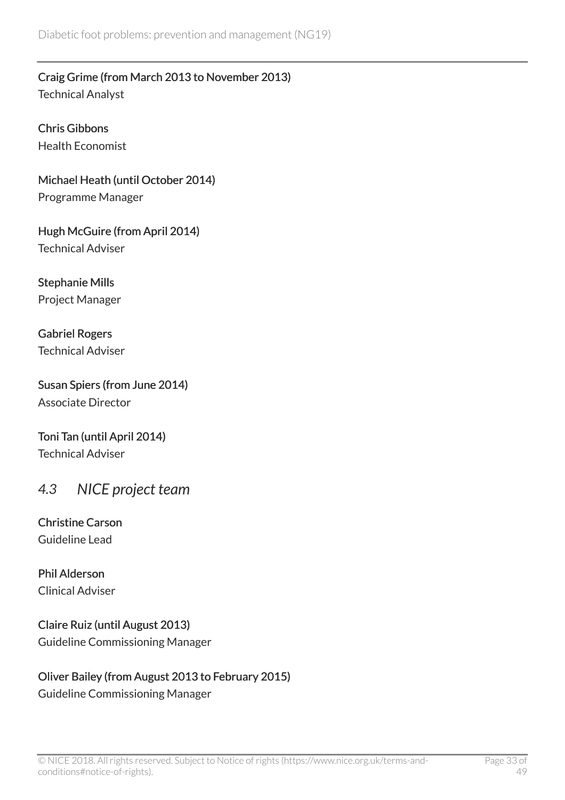Craig Grime (from March 2013 to November 2013) Technical Analyst

Chris Gibbons Health Economist

Michael Heath (until October 2014) Programme Manager

Hugh McGuire (from April 2014) Technical Adviser

Stephanie Mills Project Manager

Gabriel Rogers Technical Adviser

Susan Spiers (from June 2014) Associate Director

Toni Tan (until April 2014) Technical Adviser

### <span id="page-32-0"></span>*4.3 NICE project team*

Christine Carson Guideline Lead

Phil Alderson Clinical Adviser

Claire Ruiz (until August 2013) Guideline Commissioning Manager

### Oliver Bailey (from August 2013 to February 2015)

Guideline Commissioning Manager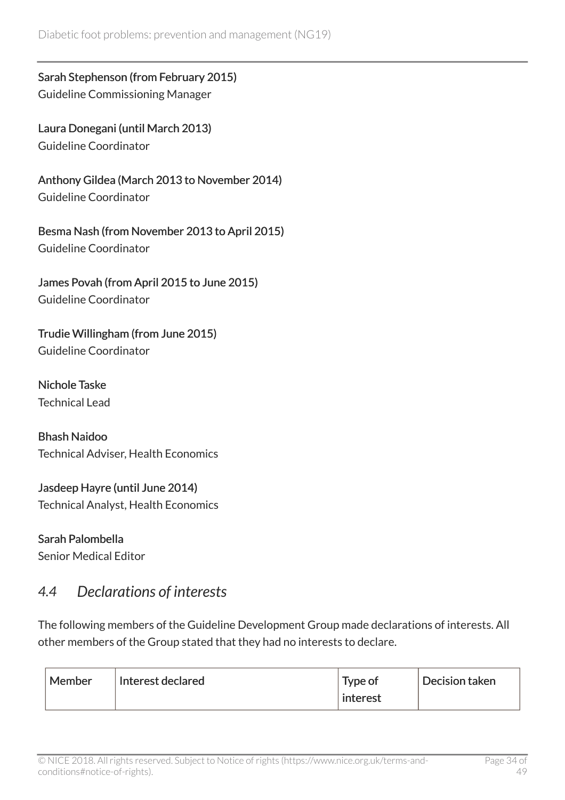Sarah Stephenson (from February 2015) Guideline Commissioning Manager

Laura Donegani (until March 2013) Guideline Coordinator

Anthony Gildea (March 2013 to November 2014) Guideline Coordinator

Besma Nash (from November 2013 to April 2015) Guideline Coordinator

James Povah (from April 2015 to June 2015) Guideline Coordinator

Trudie Willingham (from June 2015) Guideline Coordinator

Nichole Taske Technical Lead

Bhash Naidoo Technical Adviser, Health Economics

Jasdeep Hayre (until June 2014) Technical Analyst, Health Economics

Sarah Palombella Senior Medical Editor

### <span id="page-33-0"></span>*4.4 Declarations of interests*

The following members of the Guideline Development Group made declarations of interests. All other members of the Group stated that they had no interests to declare.

| Member<br>Interest declared | Type of<br>interest | Decision taken |
|-----------------------------|---------------------|----------------|
|-----------------------------|---------------------|----------------|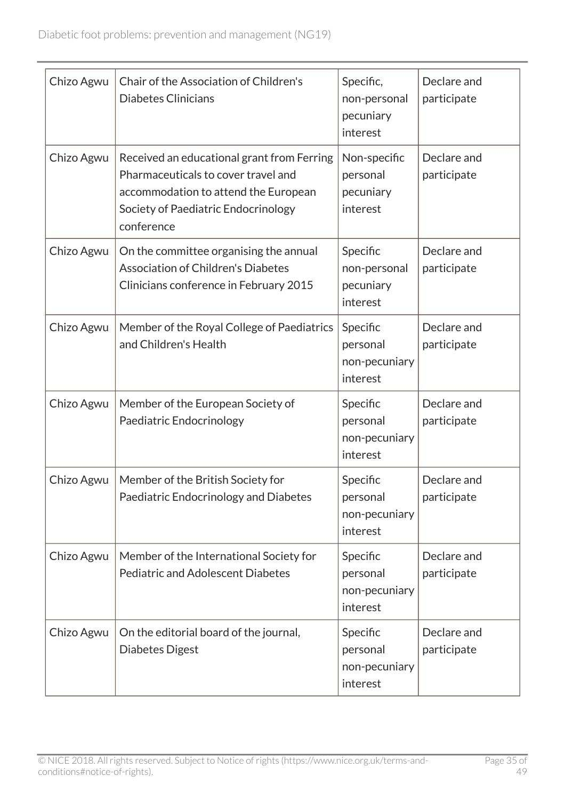| Chizo Agwu | Chair of the Association of Children's<br><b>Diabetes Clinicians</b>                                                                                                           | Specific,<br>non-personal<br>pecuniary<br>interest | Declare and<br>participate |
|------------|--------------------------------------------------------------------------------------------------------------------------------------------------------------------------------|----------------------------------------------------|----------------------------|
| Chizo Agwu | Received an educational grant from Ferring<br>Pharmaceuticals to cover travel and<br>accommodation to attend the European<br>Society of Paediatric Endocrinology<br>conference | Non-specific<br>personal<br>pecuniary<br>interest  | Declare and<br>participate |
| Chizo Agwu | On the committee organising the annual<br><b>Association of Children's Diabetes</b><br>Clinicians conference in February 2015                                                  | Specific<br>non-personal<br>pecuniary<br>interest  | Declare and<br>participate |
| Chizo Agwu | Member of the Royal College of Paediatrics<br>and Children's Health                                                                                                            | Specific<br>personal<br>non-pecuniary<br>interest  | Declare and<br>participate |
| Chizo Agwu | Member of the European Society of<br>Paediatric Endocrinology                                                                                                                  | Specific<br>personal<br>non-pecuniary<br>interest  | Declare and<br>participate |
| Chizo Agwu | Member of the British Society for<br>Paediatric Endocrinology and Diabetes                                                                                                     | Specific<br>personal<br>non-pecuniary<br>interest  | Declare and<br>participate |
| Chizo Agwu | Member of the International Society for<br><b>Pediatric and Adolescent Diabetes</b>                                                                                            | Specific<br>personal<br>non-pecuniary<br>interest  | Declare and<br>participate |
| Chizo Agwu | On the editorial board of the journal,<br>Diabetes Digest                                                                                                                      | Specific<br>personal<br>non-pecuniary<br>interest  | Declare and<br>participate |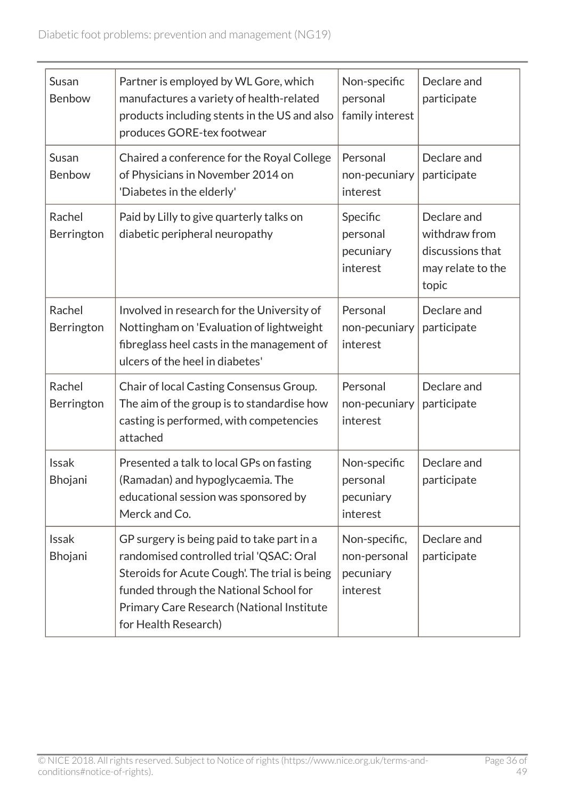| Susan<br>Benbow         | Partner is employed by WL Gore, which<br>manufactures a variety of health-related<br>products including stents in the US and also<br>produces GORE-tex footwear                                                                                       | Non-specific<br>personal<br>family interest            | Declare and<br>participate                                                     |
|-------------------------|-------------------------------------------------------------------------------------------------------------------------------------------------------------------------------------------------------------------------------------------------------|--------------------------------------------------------|--------------------------------------------------------------------------------|
| Susan<br>Benbow         | Chaired a conference for the Royal College<br>of Physicians in November 2014 on<br>'Diabetes in the elderly'                                                                                                                                          | Personal<br>non-pecuniary<br>interest                  | Declare and<br>participate                                                     |
| Rachel<br>Berrington    | Paid by Lilly to give quarterly talks on<br>diabetic peripheral neuropathy                                                                                                                                                                            | Specific<br>personal<br>pecuniary<br>interest          | Declare and<br>withdraw from<br>discussions that<br>may relate to the<br>topic |
| Rachel<br>Berrington    | Involved in research for the University of<br>Nottingham on 'Evaluation of lightweight<br>fibreglass heel casts in the management of<br>ulcers of the heel in diabetes'                                                                               | Personal<br>non-pecuniary<br>interest                  | Declare and<br>participate                                                     |
| Rachel<br>Berrington    | Chair of local Casting Consensus Group.<br>The aim of the group is to standardise how<br>casting is performed, with competencies<br>attached                                                                                                          | Personal<br>non-pecuniary<br>interest                  | Declare and<br>participate                                                     |
| <b>Issak</b><br>Bhojani | Presented a talk to local GPs on fasting<br>(Ramadan) and hypoglycaemia. The<br>educational session was sponsored by<br>Merck and Co.                                                                                                                 | Non-specific<br>personal<br>pecuniary<br>interest      | Declare and<br>participate                                                     |
| <b>Issak</b><br>Bhojani | GP surgery is being paid to take part in a<br>randomised controlled trial 'QSAC: Oral<br>Steroids for Acute Cough'. The trial is being<br>funded through the National School for<br>Primary Care Research (National Institute<br>for Health Research) | Non-specific,<br>non-personal<br>pecuniary<br>interest | Declare and<br>participate                                                     |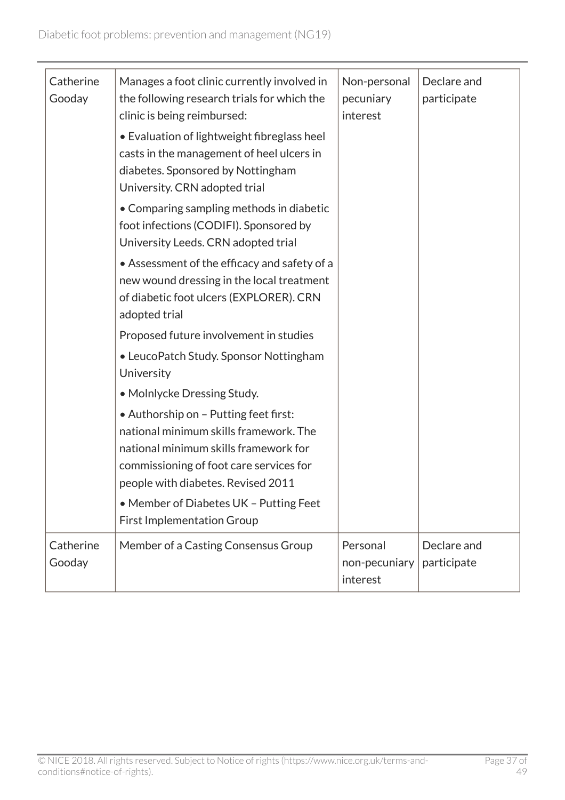| Catherine<br>Gooday | Manages a foot clinic currently involved in<br>the following research trials for which the<br>clinic is being reimbursed:<br>• Evaluation of lightweight fibreglass heel<br>casts in the management of heel ulcers in<br>diabetes. Sponsored by Nottingham<br>University. CRN adopted trial | Non-personal<br>pecuniary<br>interest | Declare and<br>participate |
|---------------------|---------------------------------------------------------------------------------------------------------------------------------------------------------------------------------------------------------------------------------------------------------------------------------------------|---------------------------------------|----------------------------|
|                     | • Comparing sampling methods in diabetic<br>foot infections (CODIFI). Sponsored by<br>University Leeds. CRN adopted trial                                                                                                                                                                   |                                       |                            |
|                     | • Assessment of the efficacy and safety of a<br>new wound dressing in the local treatment<br>of diabetic foot ulcers (EXPLORER). CRN<br>adopted trial                                                                                                                                       |                                       |                            |
|                     | Proposed future involvement in studies                                                                                                                                                                                                                                                      |                                       |                            |
|                     | • LeucoPatch Study. Sponsor Nottingham<br>University                                                                                                                                                                                                                                        |                                       |                            |
|                     | • Molnlycke Dressing Study.                                                                                                                                                                                                                                                                 |                                       |                            |
|                     | • Authorship on - Putting feet first:<br>national minimum skills framework. The<br>national minimum skills framework for<br>commissioning of foot care services for<br>people with diabetes. Revised 2011                                                                                   |                                       |                            |
|                     | • Member of Diabetes UK - Putting Feet<br><b>First Implementation Group</b>                                                                                                                                                                                                                 |                                       |                            |
| Catherine<br>Gooday | Member of a Casting Consensus Group                                                                                                                                                                                                                                                         | Personal<br>non-pecuniary<br>interest | Declare and<br>participate |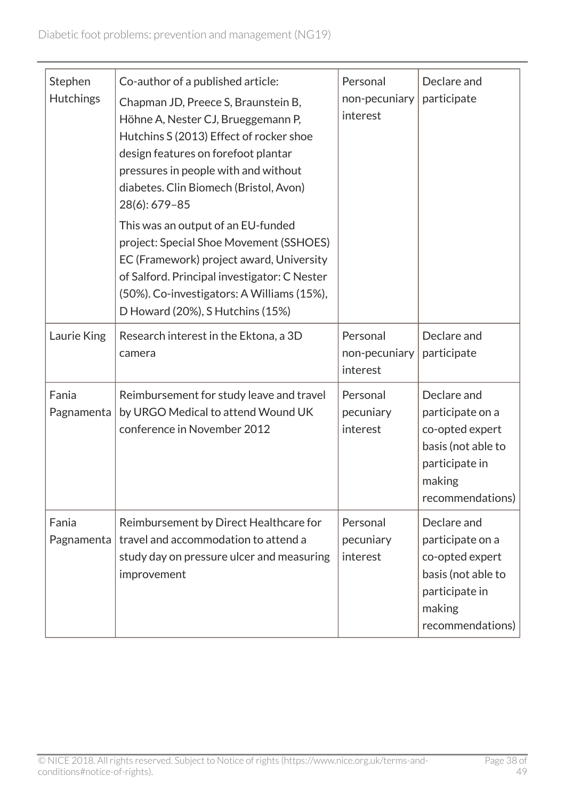| Stephen<br><b>Hutchings</b> | Co-author of a published article:<br>Chapman JD, Preece S, Braunstein B,<br>Höhne A, Nester CJ, Brueggemann P,<br>Hutchins S (2013) Effect of rocker shoe<br>design features on forefoot plantar<br>pressures in people with and without<br>diabetes. Clin Biomech (Bristol, Avon)<br>28(6): 679-85<br>This was an output of an EU-funded<br>project: Special Shoe Movement (SSHOES)<br>EC (Framework) project award, University<br>of Salford. Principal investigator: C Nester<br>(50%). Co-investigators: A Williams (15%),<br>D Howard (20%), S Hutchins (15%) | Personal<br>non-pecuniary<br>interest | Declare and<br>participate                                                                                               |
|-----------------------------|--------------------------------------------------------------------------------------------------------------------------------------------------------------------------------------------------------------------------------------------------------------------------------------------------------------------------------------------------------------------------------------------------------------------------------------------------------------------------------------------------------------------------------------------------------------------|---------------------------------------|--------------------------------------------------------------------------------------------------------------------------|
| Laurie King                 | Research interest in the Ektona, a 3D<br>camera                                                                                                                                                                                                                                                                                                                                                                                                                                                                                                                    | Personal<br>non-pecuniary<br>interest | Declare and<br>participate                                                                                               |
| Fania<br>Pagnamenta         | Reimbursement for study leave and travel<br>by URGO Medical to attend Wound UK<br>conference in November 2012                                                                                                                                                                                                                                                                                                                                                                                                                                                      | Personal<br>pecuniary<br>interest     | Declare and<br>participate on a<br>co-opted expert<br>basis (not able to<br>participate in<br>making<br>recommendations) |
| Fania<br>Pagnamenta         | Reimbursement by Direct Healthcare for<br>travel and accommodation to attend a<br>study day on pressure ulcer and measuring<br>improvement                                                                                                                                                                                                                                                                                                                                                                                                                         | Personal<br>pecuniary<br>interest     | Declare and<br>participate on a<br>co-opted expert<br>basis (not able to<br>participate in<br>making<br>recommendations) |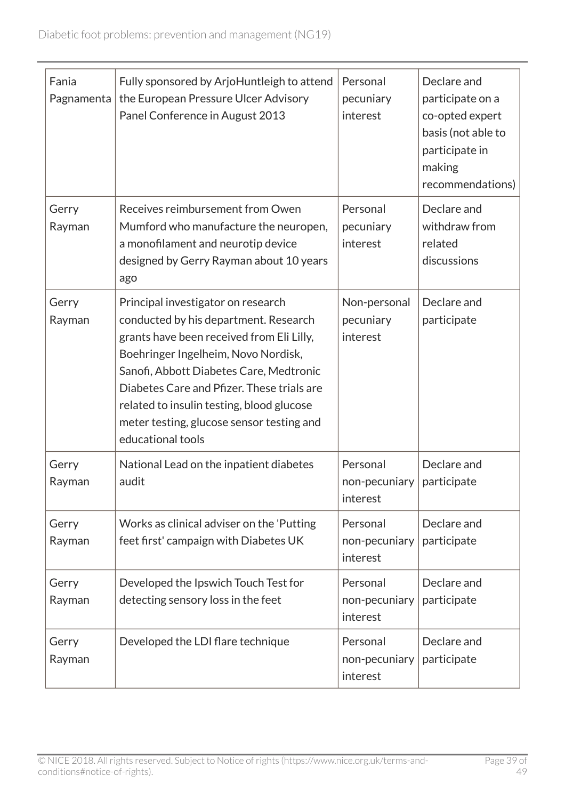| Fania<br>Pagnamenta | Fully sponsored by ArjoHuntleigh to attend<br>the European Pressure Ulcer Advisory<br>Panel Conference in August 2013                                                                                                                                                                                                                                                   | Personal<br>pecuniary<br>interest     | Declare and<br>participate on a<br>co-opted expert<br>basis (not able to<br>participate in<br>making<br>recommendations) |
|---------------------|-------------------------------------------------------------------------------------------------------------------------------------------------------------------------------------------------------------------------------------------------------------------------------------------------------------------------------------------------------------------------|---------------------------------------|--------------------------------------------------------------------------------------------------------------------------|
| Gerry<br>Rayman     | Receives reimbursement from Owen<br>Mumford who manufacture the neuropen,<br>a monofilament and neurotip device<br>designed by Gerry Rayman about 10 years<br>ago                                                                                                                                                                                                       | Personal<br>pecuniary<br>interest     | Declare and<br>withdraw from<br>related<br>discussions                                                                   |
| Gerry<br>Rayman     | Principal investigator on research<br>conducted by his department. Research<br>grants have been received from Eli Lilly,<br>Boehringer Ingelheim, Novo Nordisk,<br>Sanofi, Abbott Diabetes Care, Medtronic<br>Diabetes Care and Pfizer. These trials are<br>related to insulin testing, blood glucose<br>meter testing, glucose sensor testing and<br>educational tools | Non-personal<br>pecuniary<br>interest | Declare and<br>participate                                                                                               |
| Gerry<br>Rayman     | National Lead on the inpatient diabetes<br>audit                                                                                                                                                                                                                                                                                                                        | Personal<br>non-pecuniary<br>interest | Declare and<br>participate                                                                                               |
| Gerry<br>Rayman     | Works as clinical adviser on the 'Putting<br>feet first' campaign with Diabetes UK                                                                                                                                                                                                                                                                                      | Personal<br>non-pecuniary<br>interest | Declare and<br>participate                                                                                               |
| Gerry<br>Rayman     | Developed the Ipswich Touch Test for<br>detecting sensory loss in the feet                                                                                                                                                                                                                                                                                              | Personal<br>non-pecuniary<br>interest | Declare and<br>participate                                                                                               |
| Gerry<br>Rayman     | Developed the LDI flare technique                                                                                                                                                                                                                                                                                                                                       | Personal<br>non-pecuniary<br>interest | Declare and<br>participate                                                                                               |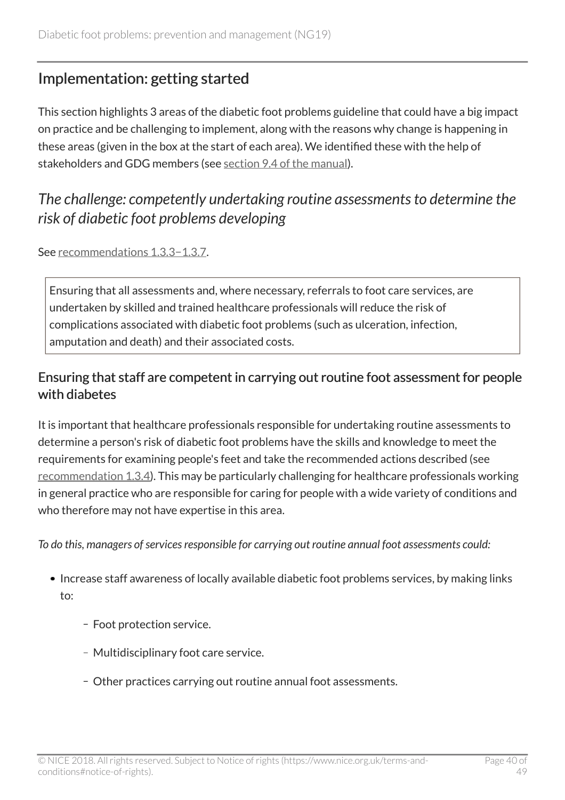# <span id="page-39-0"></span>Implementation: getting started

This section highlights 3 areas of the diabetic foot problems guideline that could have a big impact on practice and be challenging to implement, along with the reasons why change is happening in these areas (given in the box at the start of each area). We identified these with the help of stakeholders and GDG members (see [section 9.4 of the manual\)](https://www.nice.org.uk/article/pmg20/chapter/9-Developing-and-wording-recommendations-and-writing-the-guideline#highlighting-recommendations-for-implementation-support).

# <span id="page-39-1"></span>*The challenge: competently undertaking routine assessments to determine the risk of diabetic foot problems developing*

See [recommendations](http://live-publications.nice.org.uk/recommendations#assessing-the-risk-of-developing-a-diabetic-foot-problem-2) 1.3.3−1.3.7.

Ensuring that all assessments and, where necessary, referrals to foot care services, are undertaken by skilled and trained healthcare professionals will reduce the risk of complications associated with diabetic foot problems (such as ulceration, infection, amputation and death) and their associated costs.

### Ensuring that staff are competent in carrying out routine foot assessment for people with diabetes

It is important that healthcare professionals responsible for undertaking routine assessments to determine a person's risk of diabetic foot problems have the skills and knowledge to meet the requirements for examining people's feet and take the recommended actions described (see [recommendation](http://www.nice.org.uk/guidance/NG19/chapter/1-Recommendations#assessing-the-risk-of-developing-a-diabetic-foot-problem-2) 1.3.4). This may be particularly challenging for healthcare professionals working in general practice who are responsible for caring for people with a wide variety of conditions and who therefore may not have expertise in this area.

*To do this, managers of services responsible for carrying out routine annual foot assessments could:*

- Increase staff awareness of locally available diabetic foot problems services, by making links to:
	- Foot protection service.
	- Multidisciplinary foot care service.
	- Other practices carrying out routine annual foot assessments.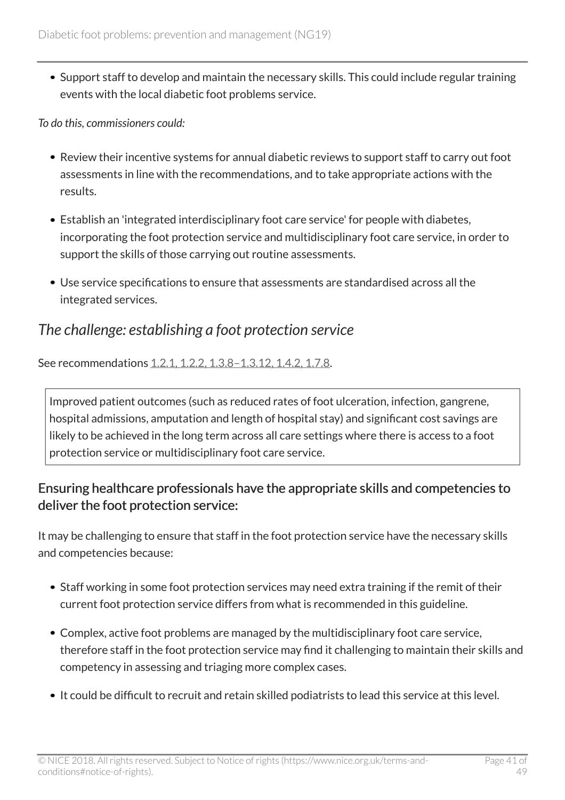Support staff to develop and maintain the necessary skills. This could include regular training events with the local diabetic foot problems service.

*To do this, commissioners could:*

- Review their incentive systems for annual diabetic reviews to support staff to carry out foot assessments in line with the recommendations, and to take appropriate actions with the results.
- Establish an 'integrated interdisciplinary foot care service' for people with diabetes, incorporating the foot protection service and multidisciplinary foot care service, in order to support the skills of those carrying out routine assessments.
- Use service specifications to ensure that assessments are standardised across all the integrated services.

# <span id="page-40-0"></span>*The challenge: establishing a foot protection service*

See recommendations [1.2.1, 1.2.2, 1.3.8–1.3.12, 1.4.2, 1.7.8](http://live-publications.nice.org.uk/recommendations#recommendations).

Improved patient outcomes (such as reduced rates of foot ulceration, infection, gangrene, hospital admissions, amputation and length of hospital stay) and significant cost savings are likely to be achieved in the long term across all care settings where there is access to a foot protection service or multidisciplinary foot care service.

### Ensuring healthcare professionals have the appropriate skills and competencies to deliver the foot protection service:

It may be challenging to ensure that staff in the foot protection service have the necessary skills and competencies because:

- Staff working in some foot protection services may need extra training if the remit of their current foot protection service differs from what is recommended in this guideline.
- Complex, active foot problems are managed by the multidisciplinary foot care service, therefore staff in the foot protection service may find it challenging to maintain their skills and competency in assessing and triaging more complex cases.
- It could be difficult to recruit and retain skilled podiatrists to lead this service at this level.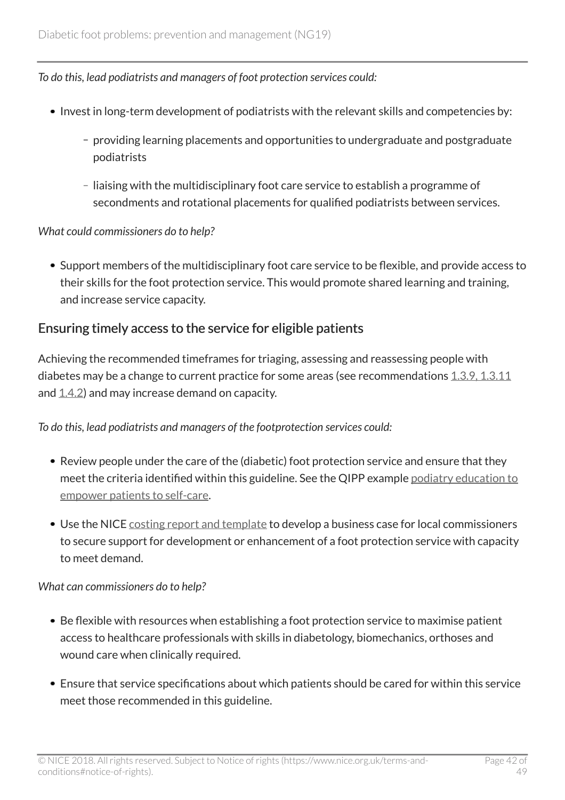*To do this, lead podiatrists and managers of foot protection services could:*

- Invest in long-term development of podiatrists with the relevant skills and competencies by:
	- providing learning placements and opportunities to undergraduate and postgraduate podiatrists
	- liaising with the multidisciplinary foot care service to establish a programme of secondments and rotational placements for qualified podiatrists between services.

#### *What could commissioners do to help?*

Support members of the multidisciplinary foot care service to be flexible, and provide access to their skills for the foot protection service. This would promote shared learning and training, and increase service capacity.

### Ensuring timely access to the service for eligible patients

Achieving the recommended timeframes for triaging, assessing and reassessing people with diabetes may be a change to current practice for some areas (see recommendations  $1.3.9, 1.3.11$ and  $(1.4.2)$  $(1.4.2)$  and may increase demand on capacity.

#### *To do this, lead podiatrists and managers of the footprotection services could:*

- Review people under the care of the (diabetic) foot protection service and ensure that they meet the criteria identified within this guideline. See the QIPP example [podiatry education to](https://www.nice.org.uk/savingsandproductivityandlocalpracticeresource?ci=http%3a%2f%2farms.evidence.nhs.uk%2fresources%2fQIPP%2f959489%2fattachment%3fniceorg%3dtrue) [empower patients to self-care.](https://www.nice.org.uk/savingsandproductivityandlocalpracticeresource?ci=http%3a%2f%2farms.evidence.nhs.uk%2fresources%2fQIPP%2f959489%2fattachment%3fniceorg%3dtrue)
- Use the NICE [costing report and template](http://www.nice.org.uk/guidance/ng19/costing) to develop a business case for local commissioners to secure support for development or enhancement of a foot protection service with capacity to meet demand.

#### *What can commissioners do to help?*

- Be flexible with resources when establishing a foot protection service to maximise patient access to healthcare professionals with skills in diabetology, biomechanics, orthoses and wound care when clinically required.
- Ensure that service specifications about which patients should be cared for within this service meet those recommended in this guideline.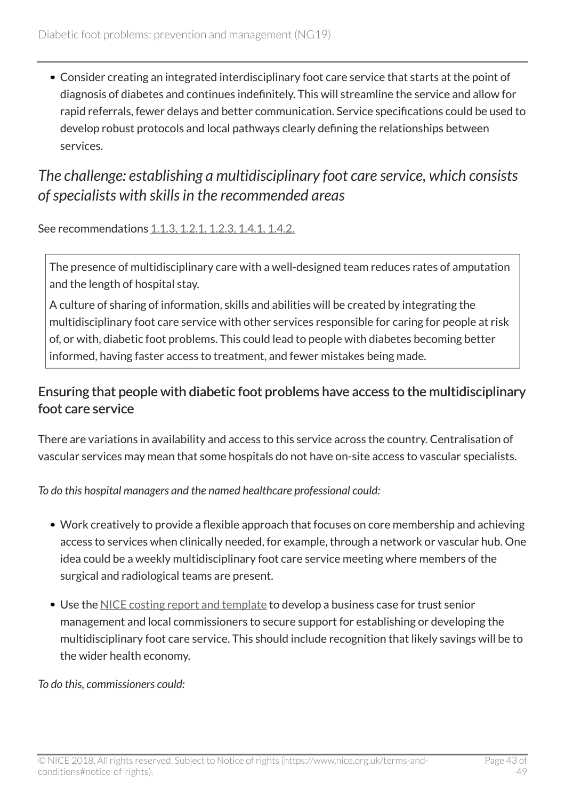Consider creating an integrated interdisciplinary foot care service that starts at the point of diagnosis of diabetes and continues indefinitely. This will streamline the service and allow for rapid referrals, fewer delays and better communication. Service specifications could be used to develop robust protocols and local pathways clearly defining the relationships between services.

# <span id="page-42-0"></span>*The challenge: establishing a multidisciplinary foot care service, which consists of specialists with skills in the recommended areas*

See recommendations [1.1.3, 1.2.1, 1.2.3, 1.4.1, 1.4.2.](http://live-publications.nice.org.uk/recommendations#recommendations)

The presence of multidisciplinary care with a well-designed team reduces rates of amputation and the length of hospital stay.

A culture of sharing of information, skills and abilities will be created by integrating the multidisciplinary foot care service with other services responsible for caring for people at risk of, or with, diabetic foot problems. This could lead to people with diabetes becoming better informed, having faster access to treatment, and fewer mistakes being made.

### Ensuring that people with diabetic foot problems have access to the multidisciplinary foot care service

There are variations in availability and access to this service across the country. Centralisation of vascular services may mean that some hospitals do not have on-site access to vascular specialists.

*To do this hospital managers and the named healthcare professional could:*

- Work creatively to provide a flexible approach that focuses on core membership and achieving access to services when clinically needed, for example, through a network or vascular hub. One idea could be a weekly multidisciplinary foot care service meeting where members of the surgical and radiological teams are present.
- Use the [NICE costing report and template](http://www.nice.org.uk/guidance/ng19/costing) to develop a business case for trust senior management and local commissioners to secure support for establishing or developing the multidisciplinary foot care service. This should include recognition that likely savings will be to the wider health economy.

*To do this, commissioners could:*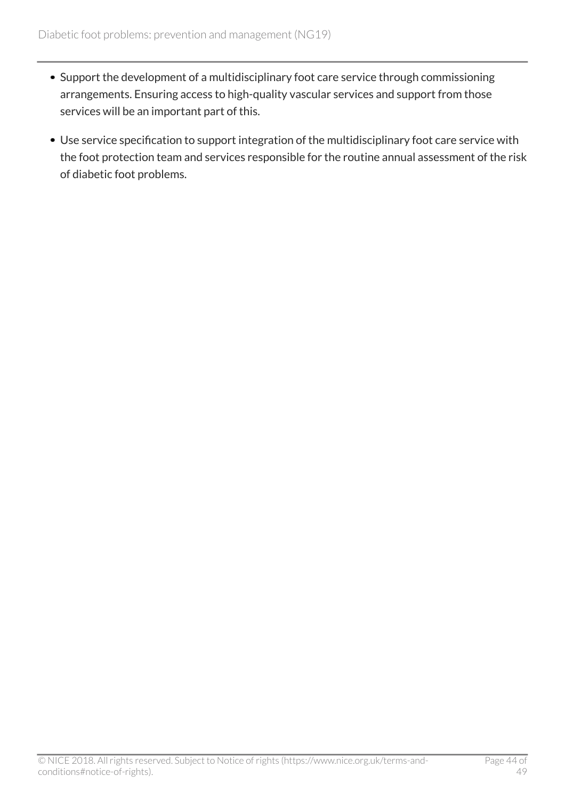- Support the development of a multidisciplinary foot care service through commissioning arrangements. Ensuring access to high-quality vascular services and support from those services will be an important part of this.
- Use service specification to support integration of the multidisciplinary foot care service with the foot protection team and services responsible for the routine annual assessment of the risk of diabetic foot problems.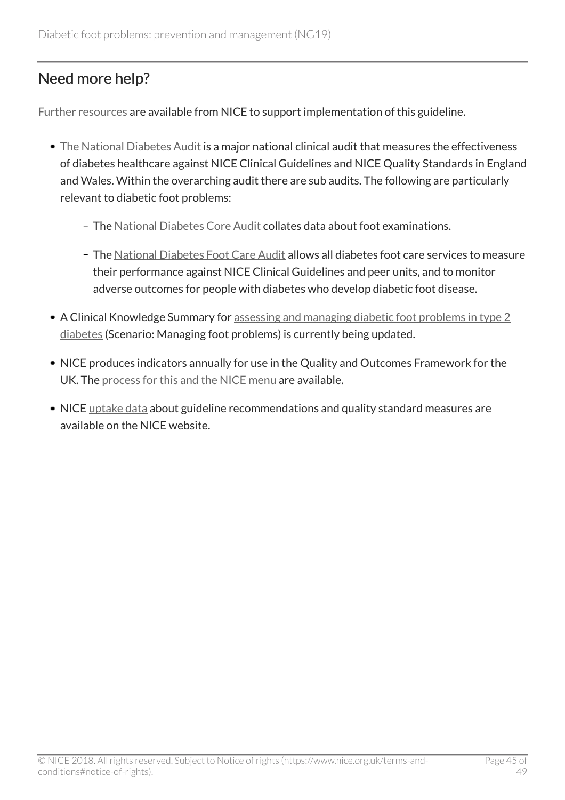# <span id="page-44-0"></span>Need more help?

[Further resources](http://www.nice.org.uk/guidance/ng19/resources) are available from NICE to support implementation of this guideline.

- [The National Diabetes Audit](http://www.diabetes.org.uk/Professionals/Service-improvement/National-Diabetes-Audit/) is a major national clinical audit that measures the effectiveness of diabetes healthcare against NICE Clinical Guidelines and NICE Quality Standards in England and Wales. Within the overarching audit there are sub audits. The following are particularly relevant to diabetic foot problems:
	- The [National Diabetes Core Audit](http://www.hscic.gov.uk/nda) collates data about foot examinations.
	- The [National Diabetes Foot Care Audit](http://www.hscic.gov.uk/footcare) allows all diabetes foot care services to measure their performance against NICE Clinical Guidelines and peer units, and to monitor adverse outcomes for people with diabetes who develop diabetic foot disease.
- A Clinical Knowledge Summary for [assessing and managing diabetic foot problems in type 2](http://cks.nice.org.uk/diabetes-type-2) [diabetes](http://cks.nice.org.uk/diabetes-type-2) (Scenario: Managing foot problems) is currently being updated.
- NICE produces indicators annually for use in the Quality and Outcomes Framework for the UK. The [process for this and the NICE menu](http://www.nice.org.uk/standards-and-indicators/qofindicators) are available.
- NICE [uptake data](http://www.nice.org.uk/uptake) about guideline recommendations and quality standard measures are available on the NICE website.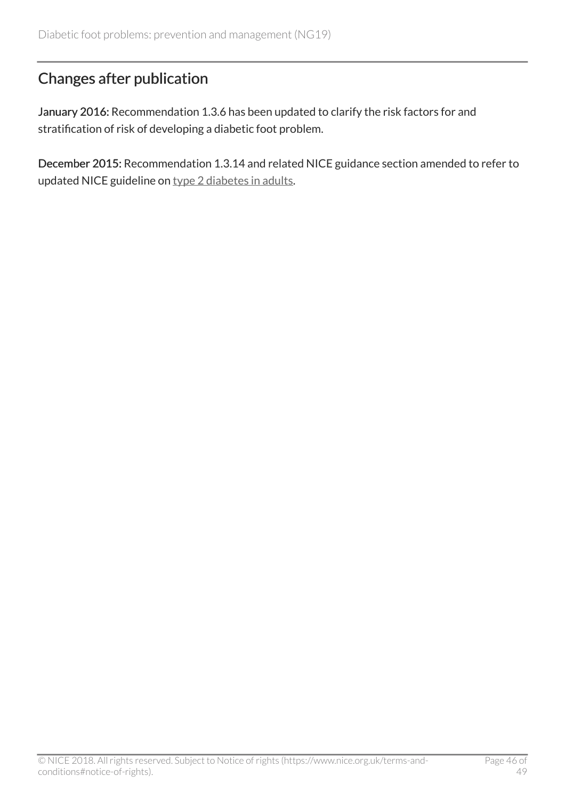# <span id="page-45-0"></span>Changes after publication

January 2016: Recommendation 1.3.6 has been updated to clarify the risk factors for and stratification of risk of developing a diabetic foot problem.

December 2015: Recommendation 1.3.14 and related NICE guidance section amended to refer to updated NICE guideline on [type 2 diabetes in adults.](http://www.nice.org.uk/guidance/ng28)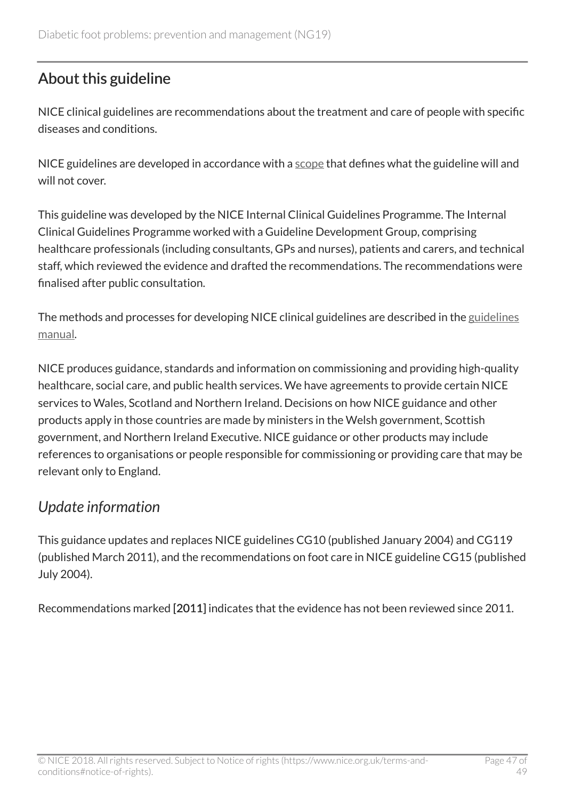# <span id="page-46-0"></span>About this guideline

NICE clinical guidelines are recommendations about the treatment and care of people with specific diseases and conditions.

NICE guidelines are developed in accordance with a [scope](http://www.nice.org.uk/Guidance/ng19/documents) that defines what the guideline will and will not cover.

This guideline was developed by the NICE Internal Clinical Guidelines Programme. The Internal Clinical Guidelines Programme worked with a Guideline Development Group, comprising healthcare professionals (including consultants, GPs and nurses), patients and carers, and technical staff, which reviewed the evidence and drafted the recommendations. The recommendations were finalised after public consultation.

The methods and processes for developing NICE clinical guidelines are described in the [guidelines](http://www.nice.org.uk/article/PMG6/chapter/1%20Introduction) [manual](http://www.nice.org.uk/article/PMG6/chapter/1%20Introduction).

NICE produces guidance, standards and information on commissioning and providing high-quality healthcare, social care, and public health services. We have agreements to provide certain NICE services to Wales, Scotland and Northern Ireland. Decisions on how NICE guidance and other products apply in those countries are made by ministers in the Welsh government, Scottish government, and Northern Ireland Executive. NICE guidance or other products may include references to organisations or people responsible for commissioning or providing care that may be relevant only to England.

# <span id="page-46-1"></span>*Update information*

This guidance updates and replaces NICE guidelines CG10 (published January 2004) and CG119 (published March 2011), and the recommendations on foot care in NICE guideline CG15 (published July 2004).

Recommendations marked [2011] indicates that the evidence has not been reviewed since 2011.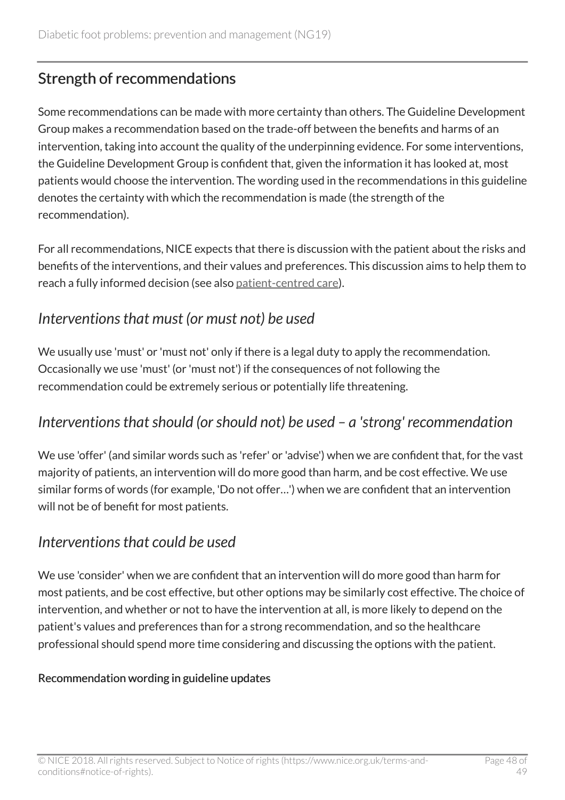# <span id="page-47-0"></span>Strength of recommendations

Some recommendations can be made with more certainty than others. The Guideline Development Group makes a recommendation based on the trade-off between the benefits and harms of an intervention, taking into account the quality of the underpinning evidence. For some interventions, the Guideline Development Group is confident that, given the information it has looked at, most patients would choose the intervention. The wording used in the recommendations in this guideline denotes the certainty with which the recommendation is made (the strength of the recommendation).

For all recommendations, NICE expects that there is discussion with the patient about the risks and benefits of the interventions, and their values and preferences. This discussion aims to help them to reach a fully informed decision (see also [patient-centred care](http://live-publications.nice.org.uk/patientcentred-care#patientcentred-care)).

### <span id="page-47-1"></span>*Interventions that must (or must not) be used*

We usually use 'must' or 'must not' only if there is a legal duty to apply the recommendation. Occasionally we use 'must' (or 'must not') if the consequences of not following the recommendation could be extremely serious or potentially life threatening.

# <span id="page-47-2"></span>*Interventions that should (or should not) be used – a 'strong' recommendation*

We use 'offer' (and similar words such as 'refer' or 'advise') when we are confident that, for the vast majority of patients, an intervention will do more good than harm, and be cost effective. We use similar forms of words (for example, 'Do not offer…') when we are confident that an intervention will not be of benefit for most patients.

### <span id="page-47-3"></span>*Interventions that could be used*

We use 'consider' when we are confident that an intervention will do more good than harm for most patients, and be cost effective, but other options may be similarly cost effective. The choice of intervention, and whether or not to have the intervention at all, is more likely to depend on the patient's values and preferences than for a strong recommendation, and so the healthcare professional should spend more time considering and discussing the options with the patient.

#### Recommendation wording in guideline updates